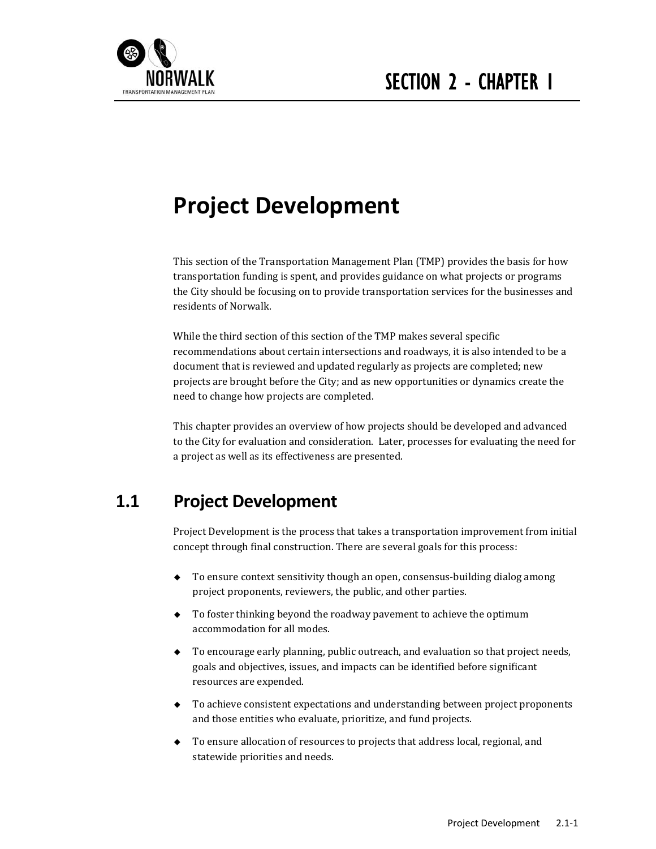

# **Project Development**

This section of the Transportation Management Plan (TMP) provides the basis for how transportation funding is spent, and provides guidance on what projects or programs the City should be focusing on to provide transportation services for the businesses and residents of Norwalk.

While the third section of this section of the TMP makes several specific recommendations about certain intersections and roadways, it is also intended to be a document that is reviewed and updated regularly as projects are completed; new projects are brought before the City; and as new opportunities or dynamics create the need to change how projects are completed.

This chapter provides an overview of how projects should be developed and advanced to the City for evaluation and consideration. Later, processes for evaluating the need for a project as well as its effectiveness are presented.

# **1.1 Project Development**

Project Development is the process that takes a transportation improvement from initial concept through final construction. There are several goals for this process:

- ◆ To ensure context sensitivity though an open, consensus-building dialog among project proponents, reviewers, the public, and other parties.
- $\bullet$  To foster thinking beyond the roadway pavement to achieve the optimum accommodation for all modes.
- $\bullet$  To encourage early planning, public outreach, and evaluation so that project needs, goals and objectives, issues, and impacts can be identified before significant resources are expended.
- $\bullet$  To achieve consistent expectations and understanding between project proponents and those entities who evaluate, prioritize, and fund projects.
- $\bullet$  To ensure allocation of resources to projects that address local, regional, and statewide priorities and needs.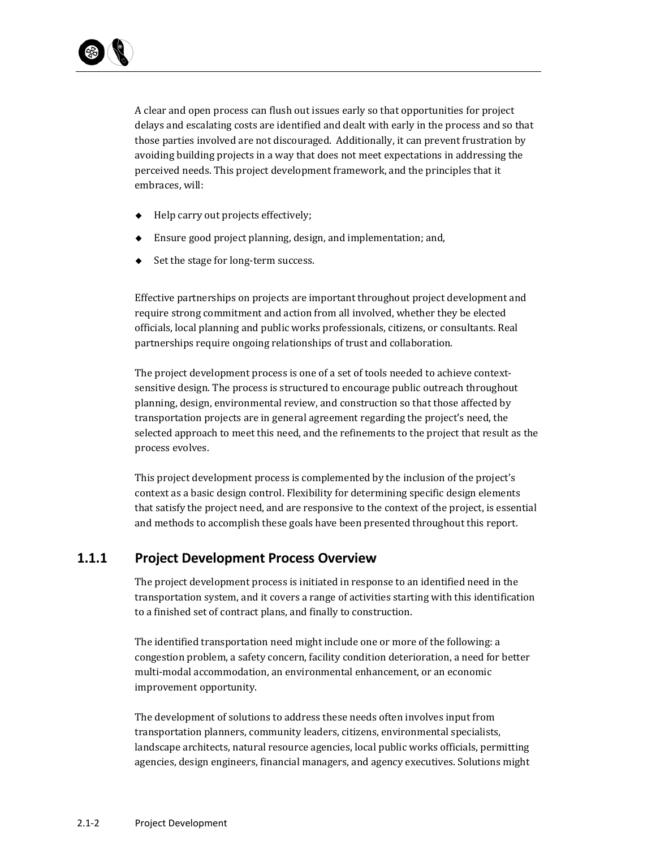

A clear and open process can flush out issues early so that opportunities for project delays and escalating costs are identified and dealt with early in the process and so that those parties involved are not discouraged. Additionally, it can prevent frustration by avoiding building projects in a way that does not meet expectations in addressing the perceived needs. This project development framework, and the principles that it embraces, will:

- $\leftarrow$  Help carry out projects effectively;
- $\bullet$  Ensure good project planning, design, and implementation; and,
- $\triangle$  Set the stage for long-term success.

Effective partnerships on projects are important throughout project development and require strong commitment and action from all involved, whether they be elected officials, local planning and public works professionals, citizens, or consultants. Real partnerships require ongoing relationships of trust and collaboration.

The project development process is one of a set of tools needed to achieve contextsensitive design. The process is structured to encourage public outreach throughout planning, design, environmental review, and construction so that those affected by transportation projects are in general agreement regarding the project's need, the selected approach to meet this need, and the refinements to the project that result as the process evolves.

This project development process is complemented by the inclusion of the project's context as a basic design control. Flexibility for determining specific design elements that satisfy the project need, and are responsive to the context of the project, is essential and methods to accomplish these goals have been presented throughout this report.

## **1.1.1 Project Development Process Overview**

The project development process is initiated in response to an identified need in the transportation system, and it covers a range of activities starting with this identification to a finished set of contract plans, and finally to construction.

The identified transportation need might include one or more of the following: a congestion problem, a safety concern, facility condition deterioration, a need for better multi-modal accommodation, an environmental enhancement, or an economic improvement opportunity.

The development of solutions to address these needs often involves input from transportation planners, community leaders, citizens, environmental specialists, landscape architects, natural resource agencies, local public works officials, permitting agencies, design engineers, financial managers, and agency executives. Solutions might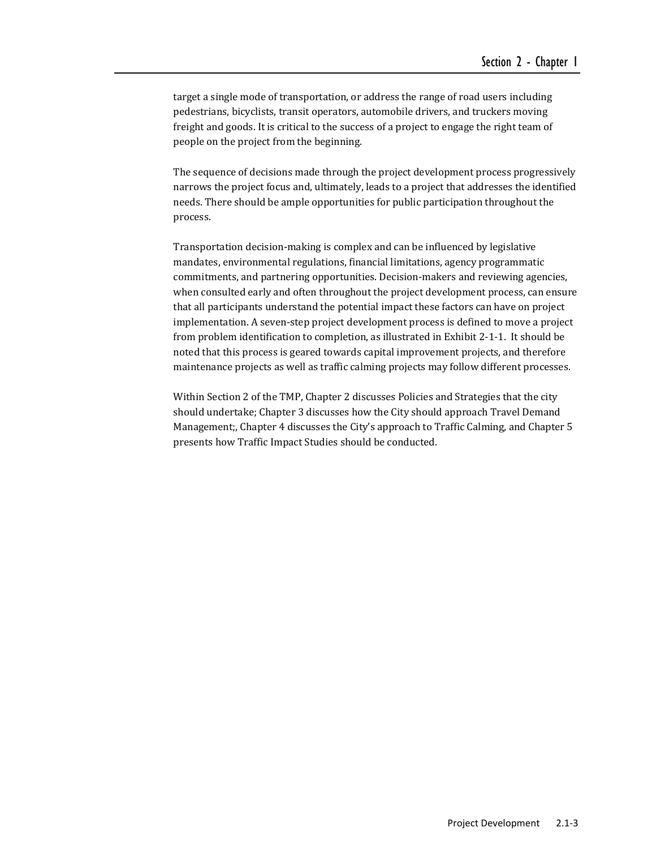target a single mode of transportation, or address the range of road users including pedestrians, bicyclists, transit operators, automobile drivers, and truckers moving freight and goods. It is critical to the success of a project to engage the right team of people on the project from the beginning.

The sequence of decisions made through the project development process progressively narrows the project focus and, ultimately, leads to a project that addresses the identified needs. There should be ample opportunities for public participation throughout the process. 

Transportation decision-making is complex and can be influenced by legislative mandates, environmental regulations, financial limitations, agency programmatic commitments, and partnering opportunities. Decision-makers and reviewing agencies, when consulted early and often throughout the project development process, can ensure that all participants understand the potential impact these factors can have on project implementation. A seven-step project development process is defined to move a project from problem identification to completion, as illustrated in Exhibit 2-1-1. It should be noted that this process is geared towards capital improvement projects, and therefore maintenance projects as well as traffic calming projects may follow different processes.

Within Section 2 of the TMP, Chapter 2 discusses Policies and Strategies that the city should undertake; Chapter 3 discusses how the City should approach Travel Demand Management;, Chapter 4 discusses the City's approach to Traffic Calming, and Chapter 5 presents how Traffic Impact Studies should be conducted.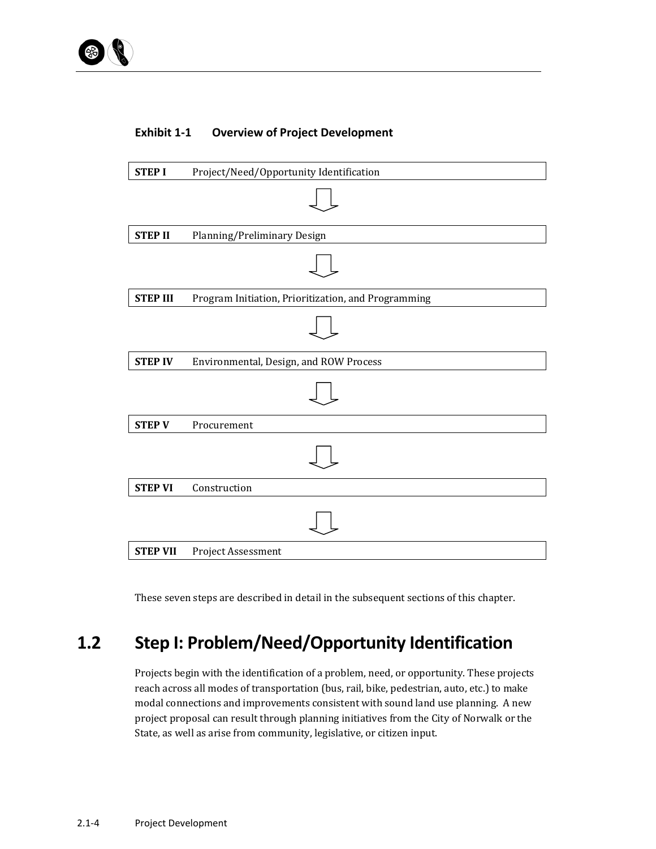## **Exhibit 1‐1 Overview of Project Development**



These seven steps are described in detail in the subsequent sections of this chapter.

# **1.2 Step I: Problem/Need/Opportunity Identification**

Projects begin with the identification of a problem, need, or opportunity. These projects reach across all modes of transportation (bus, rail, bike, pedestrian, auto, etc.) to make modal connections and improvements consistent with sound land use planning. A new project proposal can result through planning initiatives from the City of Norwalk or the State, as well as arise from community, legislative, or citizen input.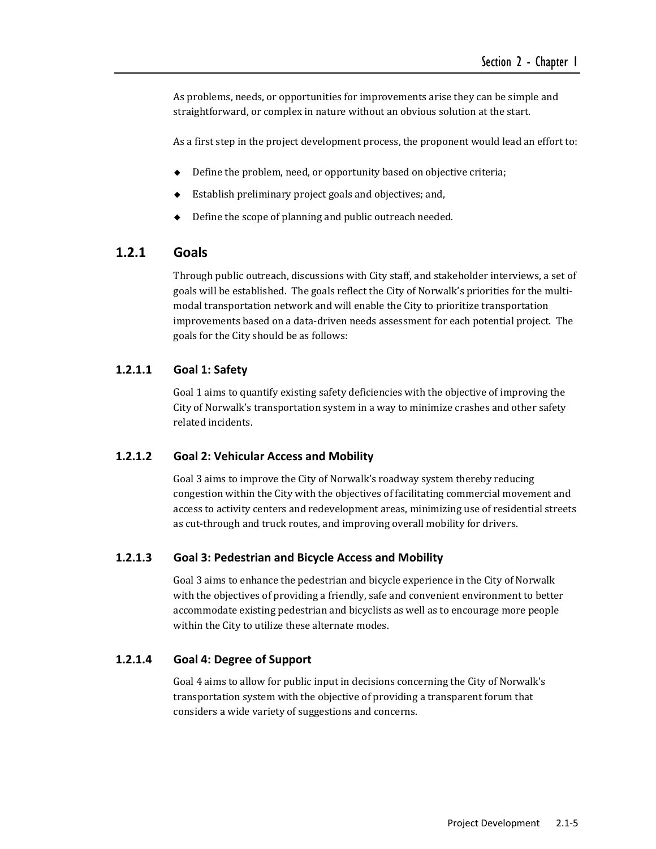As problems, needs, or opportunities for improvements arise they can be simple and straightforward, or complex in nature without an obvious solution at the start.

As a first step in the project development process, the proponent would lead an effort to:

- $\blacklozenge$  Define the problem, need, or opportunity based on objective criteria;
- Establish preliminary project goals and objectives; and,
- Define the scope of planning and public outreach needed.

## **1.2.1 Goals**

Through public outreach, discussions with City staff, and stakeholder interviews, a set of goals will be established. The goals reflect the City of Norwalk's priorities for the multimodal transportation network and will enable the City to prioritize transportation improvements based on a data-driven needs assessment for each potential project. The goals for the City should be as follows:

#### **1.2.1.1 Goal 1: Safety**

Goal 1 aims to quantify existing safety deficiencies with the objective of improving the City of Norwalk's transportation system in a way to minimize crashes and other safety related incidents.

#### **1.2.1.2 Goal 2: Vehicular Access and Mobility**

Goal 3 aims to improve the City of Norwalk's roadway system thereby reducing congestion within the City with the objectives of facilitating commercial movement and access to activity centers and redevelopment areas, minimizing use of residential streets as cut-through and truck routes, and improving overall mobility for drivers.

#### **1.2.1.3 Goal 3: Pedestrian and Bicycle Access and Mobility**

Goal 3 aims to enhance the pedestrian and bicycle experience in the City of Norwalk with the objectives of providing a friendly, safe and convenient environment to better accommodate existing pedestrian and bicyclists as well as to encourage more people within the City to utilize these alternate modes.

#### **1.2.1.4 Goal 4: Degree of Support**

Goal 4 aims to allow for public input in decisions concerning the City of Norwalk's transportation system with the objective of providing a transparent forum that considers a wide variety of suggestions and concerns.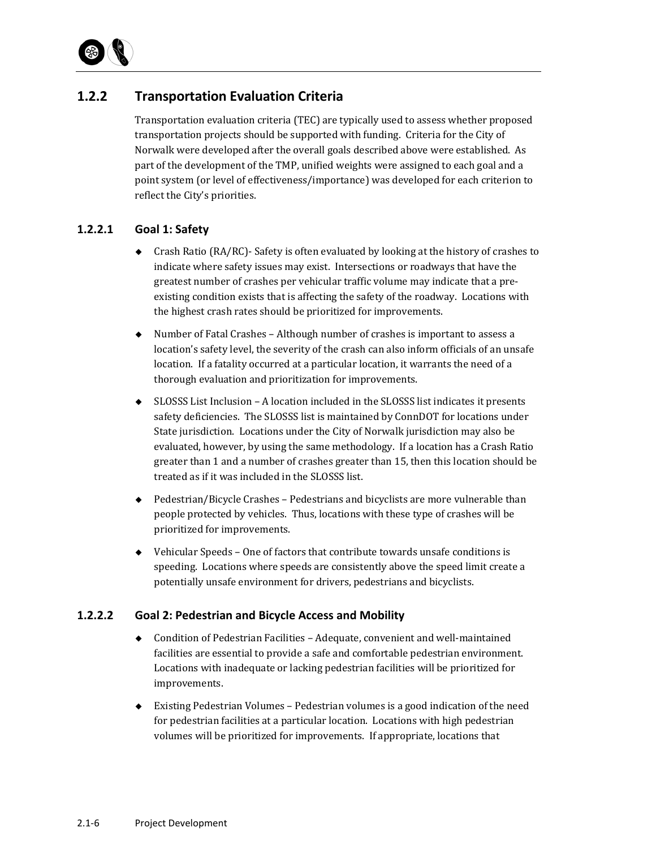

## **1.2.2 Transportation Evaluation Criteria**

Transportation evaluation criteria (TEC) are typically used to assess whether proposed transportation projects should be supported with funding. Criteria for the City of Norwalk were developed after the overall goals described above were established. As part of the development of the TMP, unified weights were assigned to each goal and a point system (or level of effectiveness/importance) was developed for each criterion to reflect the City's priorities.

#### **1.2.2.1 Goal 1: Safety**

- Crash Ratio  $(RA/RC)$  Safety is often evaluated by looking at the history of crashes to indicate where safety issues may exist. Intersections or roadways that have the greatest number of crashes per vehicular traffic volume may indicate that a preexisting condition exists that is affecting the safety of the roadway. Locations with the highest crash rates should be prioritized for improvements.
- $\blacklozenge$  Number of Fatal Crashes Although number of crashes is important to assess a location's safety level, the severity of the crash can also inform officials of an unsafe location. If a fatality occurred at a particular location, it warrants the need of a thorough evaluation and prioritization for improvements.
- $\bullet$  SLOSSS List Inclusion A location included in the SLOSSS list indicates it presents safety deficiencies. The SLOSSS list is maintained by ConnDOT for locations under State jurisdiction. Locations under the City of Norwalk jurisdiction may also be evaluated, however, by using the same methodology. If a location has a Crash Ratio greater than 1 and a number of crashes greater than 15, then this location should be treated as if it was included in the SLOSSS list.
- $\blacklozenge$  Pedestrian/Bicycle Crashes Pedestrians and bicyclists are more vulnerable than people protected by vehicles. Thus, locations with these type of crashes will be prioritized for improvements.
- $\blacklozenge$  Vehicular Speeds One of factors that contribute towards unsafe conditions is speeding. Locations where speeds are consistently above the speed limit create a potentially unsafe environment for drivers, pedestrians and bicyclists.

#### **1.2.2.2 Goal 2: Pedestrian and Bicycle Access and Mobility**

- ◆ Condition of Pedestrian Facilities Adequate, convenient and well-maintained facilities are essential to provide a safe and comfortable pedestrian environment. Locations with inadequate or lacking pedestrian facilities will be prioritized for improvements.
- $\blacklozenge$  Existing Pedestrian Volumes Pedestrian volumes is a good indication of the need for pedestrian facilities at a particular location. Locations with high pedestrian volumes will be prioritized for improvements. If appropriate, locations that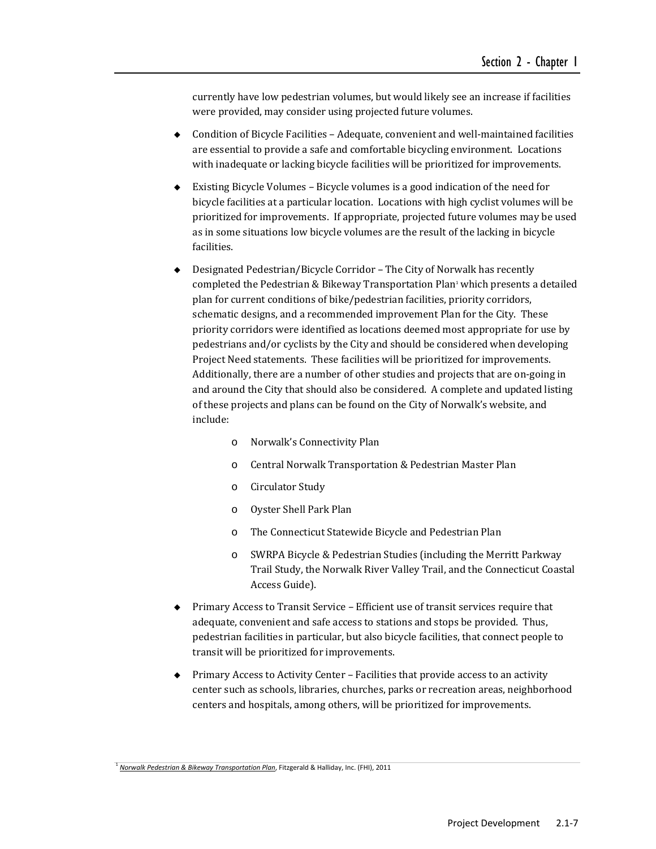currently have low pedestrian volumes, but would likely see an increase if facilities were provided, may consider using projected future volumes.

- $\bullet$  Condition of Bicycle Facilities Adequate, convenient and well-maintained facilities are essential to provide a safe and comfortable bicycling environment. Locations with inadequate or lacking bicycle facilities will be prioritized for improvements.
- $\bullet$  Existing Bicycle Volumes Bicycle volumes is a good indication of the need for bicycle facilities at a particular location. Locations with high cyclist volumes will be prioritized for improvements. If appropriate, projected future volumes may be used as in some situations low bicycle volumes are the result of the lacking in bicycle facilities.
- Designated Pedestrian/Bicycle Corridor The City of Norwalk has recently completed the Pedestrian & Bikeway Transportation Plan<sup>1</sup> which presents a detailed plan for current conditions of bike/pedestrian facilities, priority corridors, schematic designs, and a recommended improvement Plan for the City. These priority corridors were identified as locations deemed most appropriate for use by pedestrians and/or cyclists by the City and should be considered when developing Project Need statements. These facilities will be prioritized for improvements. Additionally, there are a number of other studies and projects that are on-going in and around the City that should also be considered. A complete and updated listing of these projects and plans can be found on the City of Norwalk's website, and include:
	- o Norwalk's Connectivity Plan
	- o Central Norwalk Transportation & Pedestrian Master Plan
	- o Circulator Study
	- o Oyster Shell Park Plan
	- o The Connecticut Statewide Bicycle and Pedestrian Plan
	- o SWRPA Bicycle & Pedestrian Studies (including the Merritt Parkway Trail Study, the Norwalk River Valley Trail, and the Connecticut Coastal Access Guide).
- Primary Access to Transit Service Efficient use of transit services require that adequate, convenient and safe access to stations and stops be provided. Thus, pedestrian facilities in particular, but also bicycle facilities, that connect people to transit will be prioritized for improvements.
- $\blacklozenge$  Primary Access to Activity Center Facilities that provide access to an activity center such as schools, libraries, churches, parks or recreation areas, neighborhood centers and hospitals, among others, will be prioritized for improvements.

<sup>1</sup> *Norwalk Pedestrian & Bikeway Transportation Plan*, Fitzgerald & Halliday, Inc. (FHI), 2011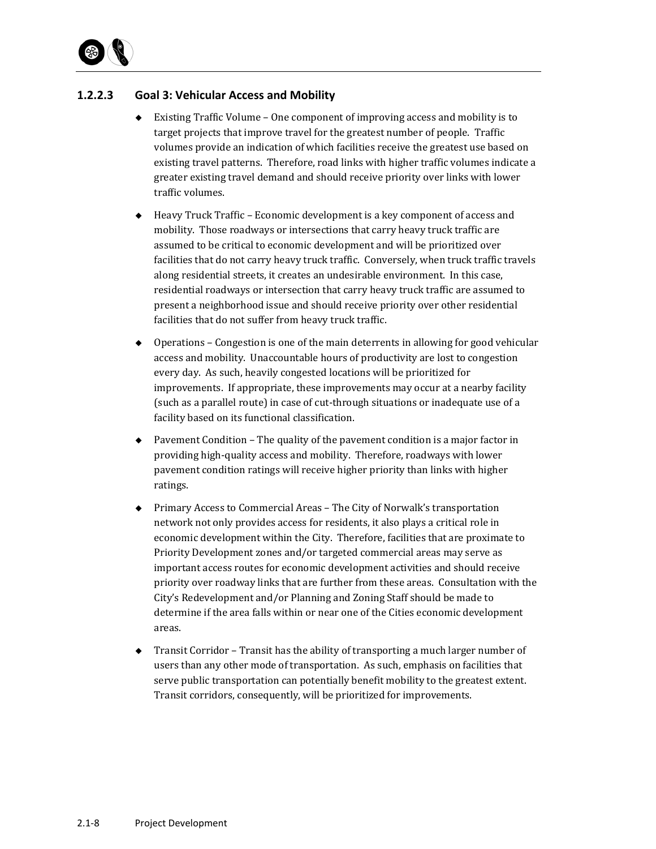

#### **1.2.2.3 Goal 3: Vehicular Access and Mobility**

- $\blacklozenge$  Existing Traffic Volume One component of improving access and mobility is to target projects that improve travel for the greatest number of people. Traffic volumes provide an indication of which facilities receive the greatest use based on existing travel patterns. Therefore, road links with higher traffic volumes indicate a greater existing travel demand and should receive priority over links with lower traffic volumes.
- $\leftrightarrow$  Heavy Truck Traffic Economic development is a key component of access and mobility. Those roadways or intersections that carry heavy truck traffic are assumed to be critical to economic development and will be prioritized over facilities that do not carry heavy truck traffic. Conversely, when truck traffic travels along residential streets, it creates an undesirable environment. In this case, residential roadways or intersection that carry heavy truck traffic are assumed to present a neighborhood issue and should receive priority over other residential facilities that do not suffer from heavy truck traffic.
- $\bullet$  Operations Congestion is one of the main deterrents in allowing for good vehicular access and mobility. Unaccountable hours of productivity are lost to congestion every day. As such, heavily congested locations will be prioritized for improvements. If appropriate, these improvements may occur at a nearby facility (such as a parallel route) in case of cut-through situations or inadequate use of a facility based on its functional classification.
- $\blacklozenge$  Pavement Condition The quality of the pavement condition is a major factor in providing high-quality access and mobility. Therefore, roadways with lower pavement condition ratings will receive higher priority than links with higher ratings.
- ◆ Primary Access to Commercial Areas The City of Norwalk's transportation network not only provides access for residents, it also plays a critical role in economic development within the City. Therefore, facilities that are proximate to Priority Development zones and/or targeted commercial areas may serve as important access routes for economic development activities and should receive priority over roadway links that are further from these areas. Consultation with the City's Redevelopment and/or Planning and Zoning Staff should be made to determine if the area falls within or near one of the Cities economic development areas.
- $\rightarrow$  Transit Corridor Transit has the ability of transporting a much larger number of users than any other mode of transportation. As such, emphasis on facilities that serve public transportation can potentially benefit mobility to the greatest extent. Transit corridors, consequently, will be prioritized for improvements.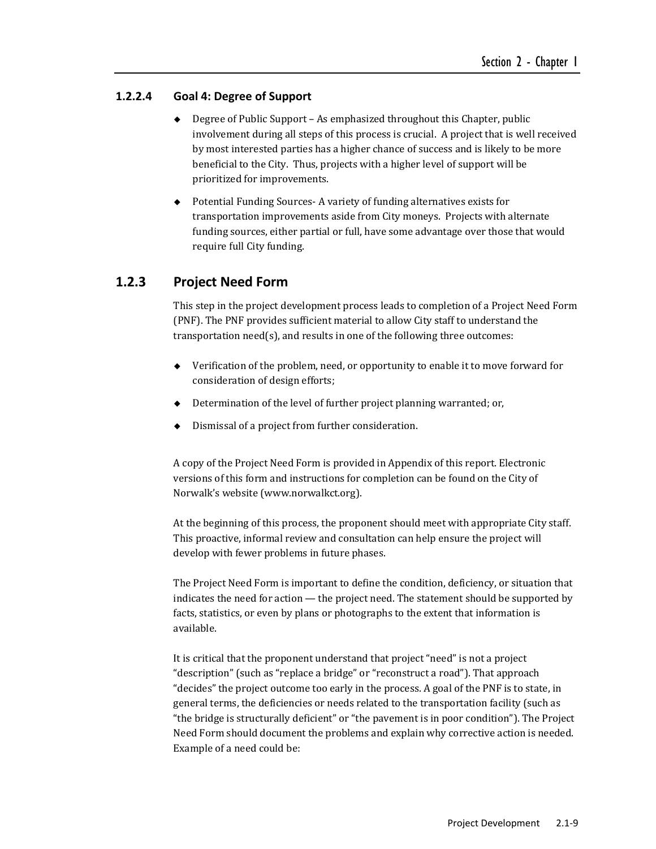#### **1.2.2.4 Goal 4: Degree of Support**

- $\bullet$  Degree of Public Support As emphasized throughout this Chapter, public involvement during all steps of this process is crucial. A project that is well received by most interested parties has a higher chance of success and is likely to be more beneficial to the City. Thus, projects with a higher level of support will be prioritized for improvements.
- ◆ Potential Funding Sources- A variety of funding alternatives exists for transportation improvements aside from City moneys. Projects with alternate funding sources, either partial or full, have some advantage over those that would require full City funding.

## **1.2.3 Project Need Form**

This step in the project development process leads to completion of a Project Need Form (PNF). The PNF provides sufficient material to allow City staff to understand the transportation  $need(s)$ , and results in one of the following three outcomes:

- $\blacklozenge$  Verification of the problem, need, or opportunity to enable it to move forward for consideration of design efforts;
- $\bullet$  Determination of the level of further project planning warranted; or,
- Dismissal of a project from further consideration.

A copy of the Project Need Form is provided in Appendix of this report. Electronic versions of this form and instructions for completion can be found on the City of Norwalk's website (www.norwalkct.org).

At the beginning of this process, the proponent should meet with appropriate City staff. This proactive, informal review and consultation can help ensure the project will develop with fewer problems in future phases.

The Project Need Form is important to define the condition, deficiency, or situation that indicates the need for action — the project need. The statement should be supported by facts, statistics, or even by plans or photographs to the extent that information is available. 

It is critical that the proponent understand that project "need" is not a project "description" (such as "replace a bridge" or "reconstruct a road"). That approach "decides" the project outcome too early in the process. A goal of the PNF is to state, in general terms, the deficiencies or needs related to the transportation facility (such as "the bridge is structurally deficient" or "the pavement is in poor condition"). The Project Need Form should document the problems and explain why corrective action is needed. Example of a need could be: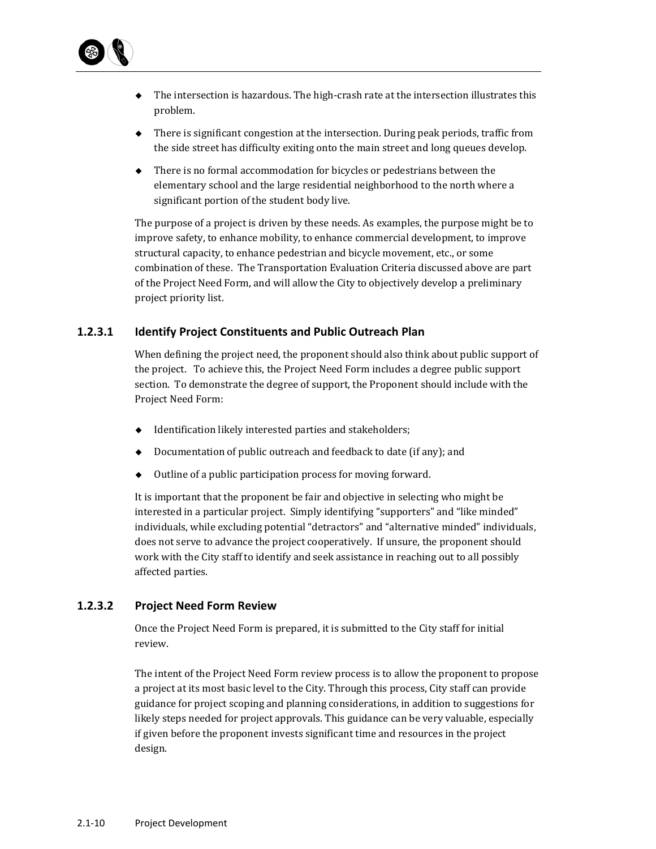

- $\bullet$  The intersection is hazardous. The high-crash rate at the intersection illustrates this problem.
- $\blacklozenge$  There is significant congestion at the intersection. During peak periods, traffic from the side street has difficulty exiting onto the main street and long queues develop.
- $\blacklozenge$  There is no formal accommodation for bicycles or pedestrians between the elementary school and the large residential neighborhood to the north where a significant portion of the student body live.

The purpose of a project is driven by these needs. As examples, the purpose might be to improve safety, to enhance mobility, to enhance commercial development, to improve structural capacity, to enhance pedestrian and bicycle movement, etc., or some combination of these. The Transportation Evaluation Criteria discussed above are part of the Project Need Form, and will allow the City to objectively develop a preliminary project priority list.

#### **1.2.3.1 Identify Project Constituents and Public Outreach Plan**

When defining the project need, the proponent should also think about public support of the project. To achieve this, the Project Need Form includes a degree public support section. To demonstrate the degree of support, the Proponent should include with the Project Need Form:

- $\blacklozenge$  Identification likely interested parties and stakeholders;
- $\bullet$  Documentation of public outreach and feedback to date (if any); and
- $\bullet$  Outline of a public participation process for moving forward.

It is important that the proponent be fair and objective in selecting who might be interested in a particular project. Simply identifying "supporters" and "like minded" individuals, while excluding potential "detractors" and "alternative minded" individuals, does not serve to advance the project cooperatively. If unsure, the proponent should work with the City staff to identify and seek assistance in reaching out to all possibly affected parties.

#### **1.2.3.2 Project Need Form Review**

Once the Project Need Form is prepared, it is submitted to the City staff for initial review. 

The intent of the Project Need Form review process is to allow the proponent to propose a project at its most basic level to the City. Through this process, City staff can provide guidance for project scoping and planning considerations, in addition to suggestions for likely steps needed for project approvals. This guidance can be very valuable, especially if given before the proponent invests significant time and resources in the project design.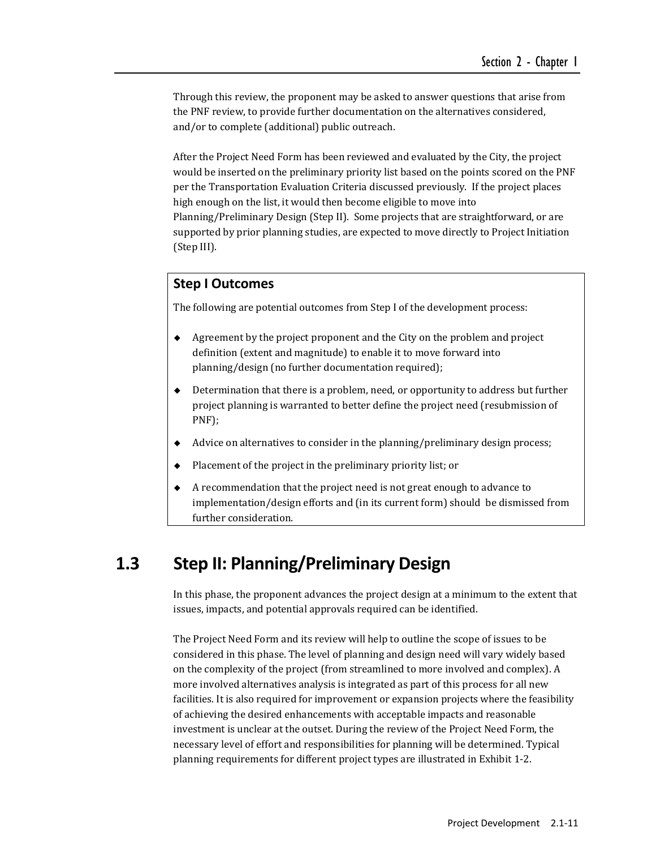Through this review, the proponent may be asked to answer questions that arise from the PNF review, to provide further documentation on the alternatives considered, and/or to complete (additional) public outreach.

After the Project Need Form has been reviewed and evaluated by the City, the project would be inserted on the preliminary priority list based on the points scored on the PNF per the Transportation Evaluation Criteria discussed previously. If the project places high enough on the list, it would then become eligible to move into Planning/Preliminary Design (Step II). Some projects that are straightforward, or are supported by prior planning studies, are expected to move directly to Project Initiation (Step III). 

#### **Step I Outcomes**

The following are potential outcomes from Step I of the development process:

- Agreement by the project proponent and the City on the problem and project definition (extent and magnitude) to enable it to move forward into planning/design (no further documentation required);
- Determination that there is a problem, need, or opportunity to address but further project planning is warranted to better define the project need (resubmission of PNF);
- Advice on alternatives to consider in the planning/preliminary design process;
- Placement of the project in the preliminary priority list; or
- A recommendation that the project need is not great enough to advance to implementation/design efforts and (in its current form) should be dismissed from further consideration.

# **1.3 Step II: Planning/Preliminary Design**

In this phase, the proponent advances the project design at a minimum to the extent that issues, impacts, and potential approvals required can be identified.

The Project Need Form and its review will help to outline the scope of issues to be considered in this phase. The level of planning and design need will vary widely based on the complexity of the project (from streamlined to more involved and complex). A more involved alternatives analysis is integrated as part of this process for all new facilities. It is also required for improvement or expansion projects where the feasibility of achieving the desired enhancements with acceptable impacts and reasonable investment is unclear at the outset. During the review of the Project Need Form, the necessary level of effort and responsibilities for planning will be determined. Typical planning requirements for different project types are illustrated in Exhibit 1-2.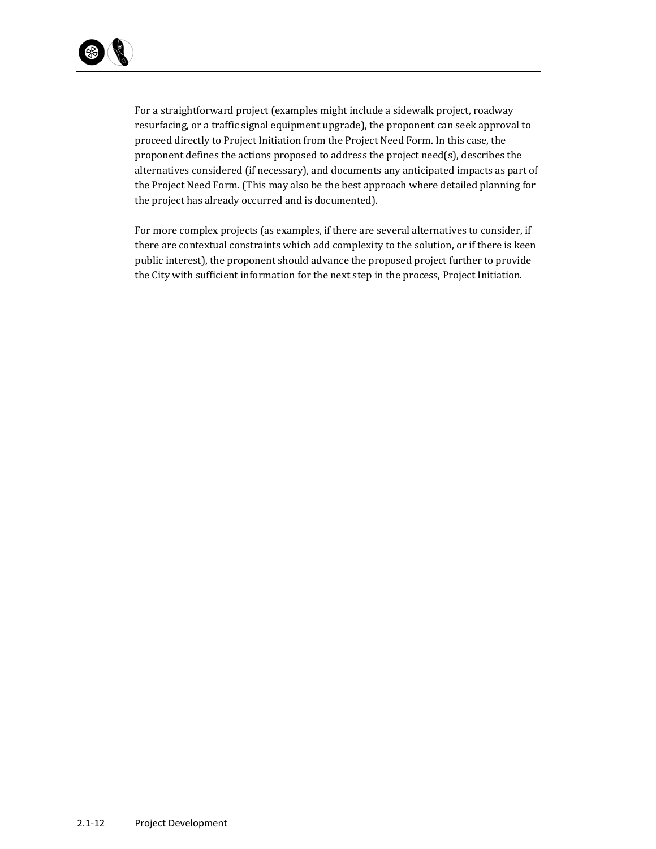

For a straightforward project (examples might include a sidewalk project, roadway resurfacing, or a traffic signal equipment upgrade), the proponent can seek approval to proceed directly to Project Initiation from the Project Need Form. In this case, the proponent defines the actions proposed to address the project need(s), describes the alternatives considered (if necessary), and documents any anticipated impacts as part of the Project Need Form. (This may also be the best approach where detailed planning for the project has already occurred and is documented).

For more complex projects (as examples, if there are several alternatives to consider, if there are contextual constraints which add complexity to the solution, or if there is keen public interest), the proponent should advance the proposed project further to provide the City with sufficient information for the next step in the process, Project Initiation.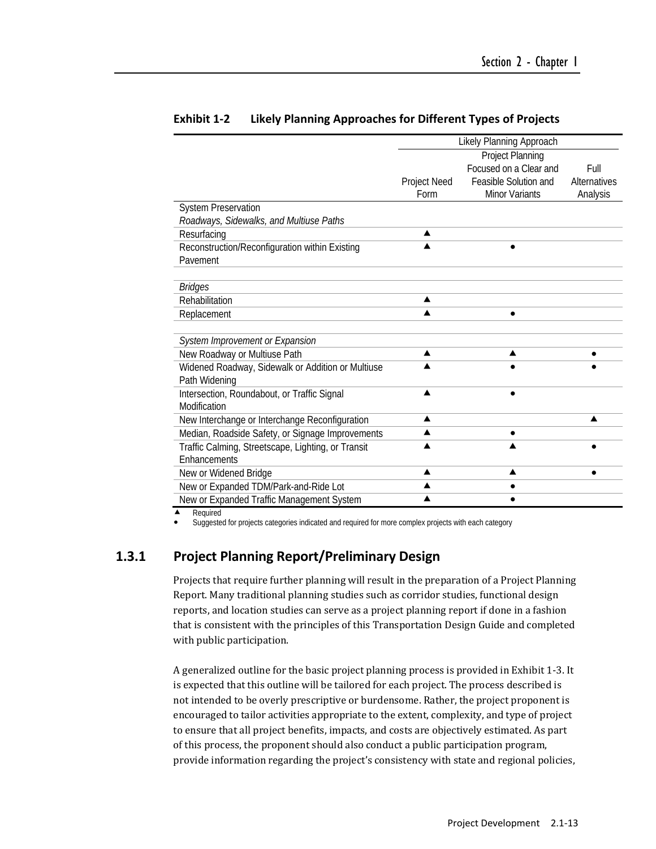|                                                    | Likely Planning Approach |                        |              |
|----------------------------------------------------|--------------------------|------------------------|--------------|
|                                                    | <b>Project Planning</b>  |                        |              |
|                                                    |                          | Focused on a Clear and | Full         |
|                                                    | Project Need             | Feasible Solution and  | Alternatives |
|                                                    | Form                     | <b>Minor Variants</b>  | Analysis     |
| <b>System Preservation</b>                         |                          |                        |              |
| Roadways, Sidewalks, and Multiuse Paths            |                          |                        |              |
| Resurfacing                                        | ▲                        |                        |              |
| Reconstruction/Reconfiguration within Existing     | ▲                        |                        |              |
| Pavement                                           |                          |                        |              |
|                                                    |                          |                        |              |
| <b>Bridges</b>                                     |                          |                        |              |
| Rehabilitation                                     | ▲                        |                        |              |
| Replacement                                        | $\blacktriangle$         |                        |              |
|                                                    |                          |                        |              |
| System Improvement or Expansion                    |                          |                        |              |
| New Roadway or Multiuse Path                       | ▲                        | ▲                      |              |
| Widened Roadway, Sidewalk or Addition or Multiuse  |                          |                        |              |
| Path Widening                                      |                          |                        |              |
| Intersection, Roundabout, or Traffic Signal        | ▲                        |                        |              |
| Modification                                       |                          |                        |              |
| New Interchange or Interchange Reconfiguration     | ▲                        |                        |              |
| Median, Roadside Safety, or Signage Improvements   | ▲                        |                        |              |
| Traffic Calming, Streetscape, Lighting, or Transit |                          |                        |              |
| <b>F</b> nhancements                               |                          |                        |              |
| New or Widened Bridge                              | ▲                        | ▲                      |              |
| New or Expanded TDM/Park-and-Ride Lot              | ▲                        | ٠                      |              |
| New or Expanded Traffic Management System          | ▲                        |                        |              |

#### **Exhibit 1‐2 Likely Planning Approaches for Different Types of Projects**

Required

Suggested for projects categories indicated and required for more complex projects with each category

## **1.3.1 Project Planning Report/Preliminary Design**

Projects that require further planning will result in the preparation of a Project Planning Report. Many traditional planning studies such as corridor studies, functional design reports, and location studies can serve as a project planning report if done in a fashion that is consistent with the principles of this Transportation Design Guide and completed with public participation.

A generalized outline for the basic project planning process is provided in Exhibit 1-3. It is expected that this outline will be tailored for each project. The process described is not intended to be overly prescriptive or burdensome. Rather, the project proponent is encouraged to tailor activities appropriate to the extent, complexity, and type of project to ensure that all project benefits, impacts, and costs are objectively estimated. As part of this process, the proponent should also conduct a public participation program, provide information regarding the project's consistency with state and regional policies,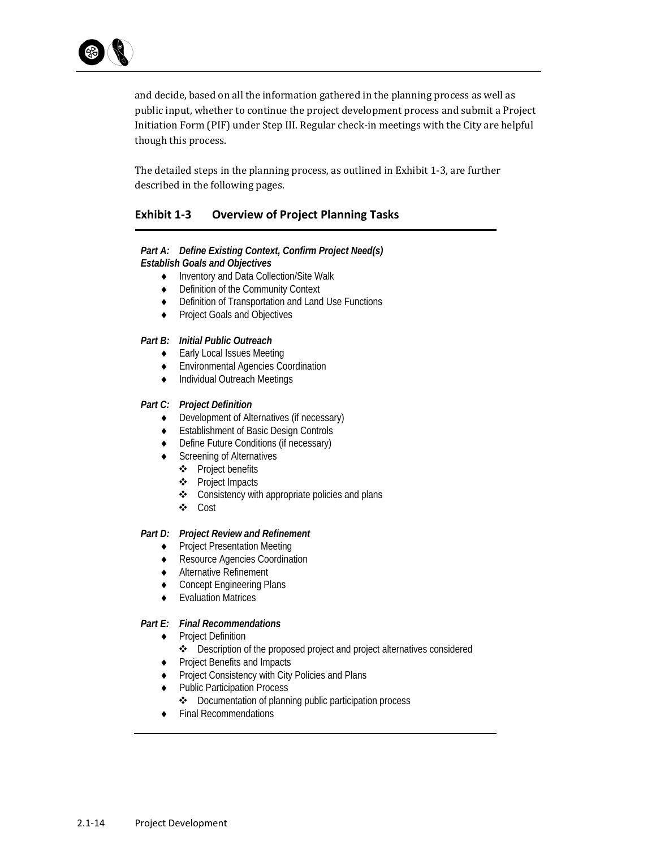

and decide, based on all the information gathered in the planning process as well as public input, whether to continue the project development process and submit a Project Initiation Form (PIF) under Step III. Regular check-in meetings with the City are helpful though this process.

The detailed steps in the planning process, as outlined in Exhibit 1-3, are further described in the following pages.

## **Exhibit 1‐3 Overview of Project Planning Tasks**

#### *Part A: Define Existing Context, Confirm Project Need(s) Establish Goals and Objectives*

- Inventory and Data Collection/Site Walk
- ◆ Definition of the Community Context
- ◆ Definition of Transportation and Land Use Functions
- ◆ Project Goals and Objectives

#### *Part B: Initial Public Outreach*

- ◆ Early Local Issues Meeting
- Environmental Agencies Coordination
- Individual Outreach Meetings

#### *Part C: Project Definition*

- Development of Alternatives (if necessary)
- Establishment of Basic Design Controls
- Define Future Conditions (if necessary)
- ◆ Screening of Alternatives
	- ❖ Project benefits
	- Project Impacts
	- Consistency with appropriate policies and plans
	- Cost

#### *Part D: Project Review and Refinement*

- ◆ Project Presentation Meeting
- ◆ Resource Agencies Coordination
- Alternative Refinement
- ◆ Concept Engineering Plans
- Evaluation Matrices

#### *Part E: Final Recommendations*

- ◆ Project Definition
	- Description of the proposed project and project alternatives considered
- ◆ Project Benefits and Impacts
- ◆ Project Consistency with City Policies and Plans
- ◆ Public Participation Process
	- Documentation of planning public participation process
- ◆ Final Recommendations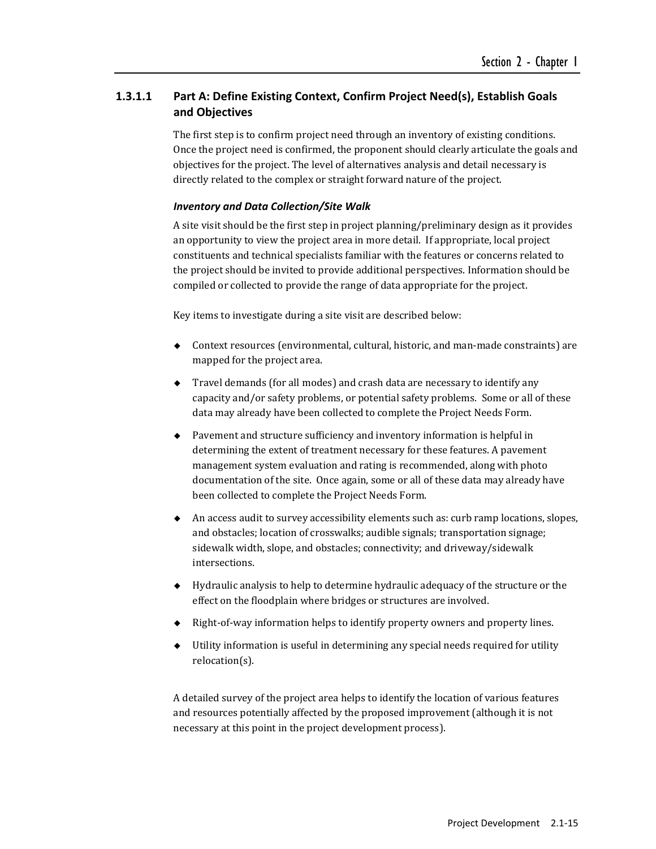## **1.3.1.1 Part A: Define Existing Context, Confirm Project Need(s), Establish Goals and Objectives**

The first step is to confirm project need through an inventory of existing conditions. Once the project need is confirmed, the proponent should clearly articulate the goals and objectives for the project. The level of alternatives analysis and detail necessary is directly related to the complex or straight forward nature of the project.

#### *Inventory and Data Collection/Site Walk*

A site visit should be the first step in project planning/preliminary design as it provides an opportunity to view the project area in more detail. If appropriate, local project constituents and technical specialists familiar with the features or concerns related to the project should be invited to provide additional perspectives. Information should be compiled or collected to provide the range of data appropriate for the project.

Key items to investigate during a site visit are described below:

- $\bullet$  Context resources (environmental, cultural, historic, and man-made constraints) are mapped for the project area.
- $\blacklozenge$  Travel demands (for all modes) and crash data are necessary to identify any capacity and/or safety problems, or potential safety problems. Some or all of these data may already have been collected to complete the Project Needs Form.
- $\blacklozenge$  Pavement and structure sufficiency and inventory information is helpful in determining the extent of treatment necessary for these features. A pavement management system evaluation and rating is recommended, along with photo documentation of the site. Once again, some or all of these data may already have been collected to complete the Project Needs Form.
- An access audit to survey accessibility elements such as: curb ramp locations, slopes, and obstacles; location of crosswalks; audible signals; transportation signage; sidewalk width, slope, and obstacles; connectivity; and driveway/sidewalk intersections.
- $\leftrightarrow$  Hydraulic analysis to help to determine hydraulic adequacy of the structure or the effect on the floodplain where bridges or structures are involved.
- ◆ Right-of-way information helps to identify property owners and property lines.
- $\blacklozenge$  Utility information is useful in determining any special needs required for utility relocation(s).

A detailed survey of the project area helps to identify the location of various features and resources potentially affected by the proposed improvement (although it is not necessary at this point in the project development process).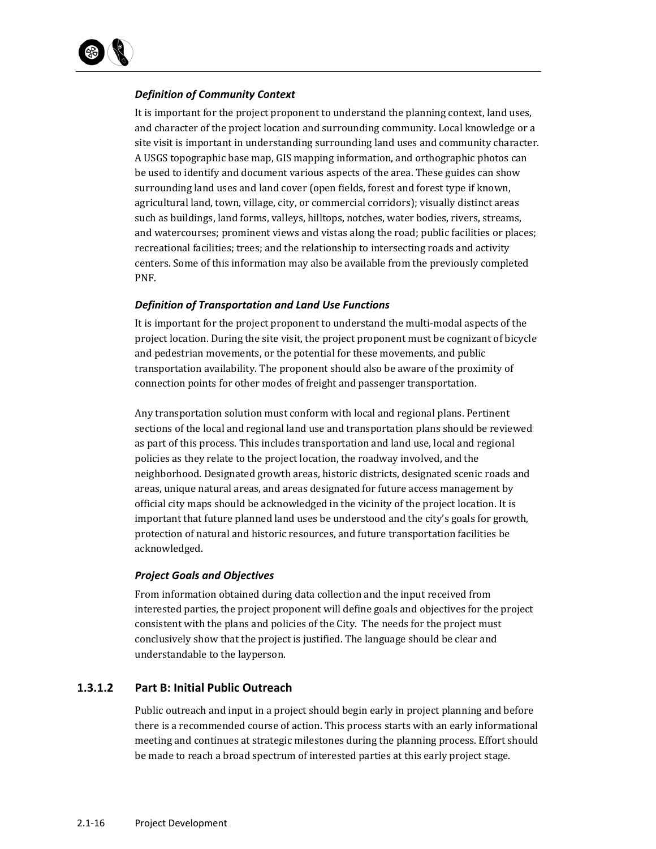

#### *Definition of Community Context*

It is important for the project proponent to understand the planning context, land uses, and character of the project location and surrounding community. Local knowledge or a site visit is important in understanding surrounding land uses and community character. A USGS topographic base map, GIS mapping information, and orthographic photos can be used to identify and document various aspects of the area. These guides can show surrounding land uses and land cover (open fields, forest and forest type if known, agricultural land, town, village, city, or commercial corridors); visually distinct areas such as buildings, land forms, valleys, hilltops, notches, water bodies, rivers, streams, and watercourses; prominent views and vistas along the road; public facilities or places; recreational facilities; trees; and the relationship to intersecting roads and activity centers. Some of this information may also be available from the previously completed PNF. 

#### *Definition of Transportation and Land Use Functions*

It is important for the project proponent to understand the multi-modal aspects of the project location. During the site visit, the project proponent must be cognizant of bicycle and pedestrian movements, or the potential for these movements, and public transportation availability. The proponent should also be aware of the proximity of connection points for other modes of freight and passenger transportation.

Any transportation solution must conform with local and regional plans. Pertinent sections of the local and regional land use and transportation plans should be reviewed as part of this process. This includes transportation and land use, local and regional policies as they relate to the project location, the roadway involved, and the neighborhood. Designated growth areas, historic districts, designated scenic roads and areas, unique natural areas, and areas designated for future access management by official city maps should be acknowledged in the vicinity of the project location. It is important that future planned land uses be understood and the city's goals for growth, protection of natural and historic resources, and future transportation facilities be acknowledged. 

#### *Project Goals and Objectives*

From information obtained during data collection and the input received from interested parties, the project proponent will define goals and objectives for the project consistent with the plans and policies of the City. The needs for the project must conclusively show that the project is justified. The language should be clear and understandable to the layperson.

#### **1.3.1.2 Part B: Initial Public Outreach**

Public outreach and input in a project should begin early in project planning and before there is a recommended course of action. This process starts with an early informational meeting and continues at strategic milestones during the planning process. Effort should be made to reach a broad spectrum of interested parties at this early project stage.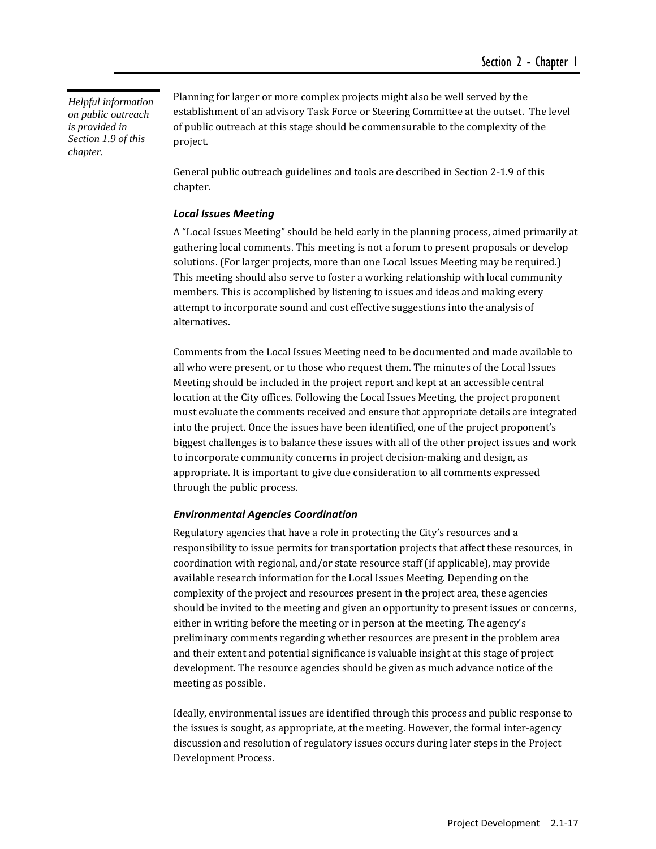*Helpful information on public outreach is provided in Section 1.9 of this chapter.* 

Planning for larger or more complex projects might also be well served by the establishment of an advisory Task Force or Steering Committee at the outset. The level of public outreach at this stage should be commensurable to the complexity of the project. 

General public outreach guidelines and tools are described in Section 2-1.9 of this chapter. 

#### *Local Issues Meeting*

A "Local Issues Meeting" should be held early in the planning process, aimed primarily at gathering local comments. This meeting is not a forum to present proposals or develop solutions. (For larger projects, more than one Local Issues Meeting may be required.) This meeting should also serve to foster a working relationship with local community members. This is accomplished by listening to issues and ideas and making every attempt to incorporate sound and cost effective suggestions into the analysis of alternatives. 

Comments from the Local Issues Meeting need to be documented and made available to all who were present, or to those who request them. The minutes of the Local Issues Meeting should be included in the project report and kept at an accessible central location at the City offices. Following the Local Issues Meeting, the project proponent must evaluate the comments received and ensure that appropriate details are integrated into the project. Once the issues have been identified, one of the project proponent's biggest challenges is to balance these issues with all of the other project issues and work to incorporate community concerns in project decision-making and design, as appropriate. It is important to give due consideration to all comments expressed through the public process.

#### *Environmental Agencies Coordination*

Regulatory agencies that have a role in protecting the City's resources and a responsibility to issue permits for transportation projects that affect these resources, in coordination with regional, and/or state resource staff (if applicable), may provide available research information for the Local Issues Meeting. Depending on the complexity of the project and resources present in the project area, these agencies should be invited to the meeting and given an opportunity to present issues or concerns, either in writing before the meeting or in person at the meeting. The agency's preliminary comments regarding whether resources are present in the problem area and their extent and potential significance is valuable insight at this stage of project development. The resource agencies should be given as much advance notice of the meeting as possible.

Ideally, environmental issues are identified through this process and public response to the issues is sought, as appropriate, at the meeting. However, the formal inter-agency discussion and resolution of regulatory issues occurs during later steps in the Project Development Process.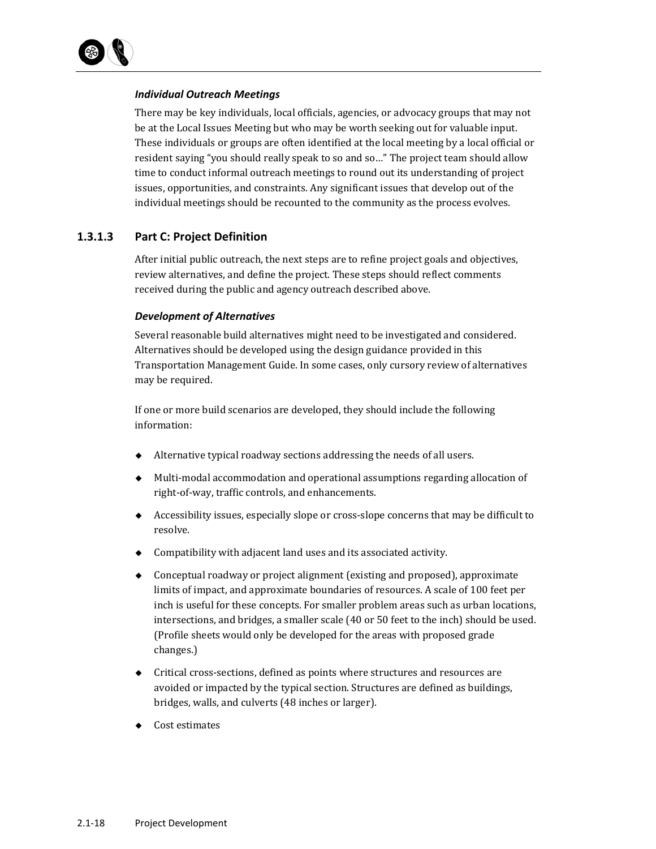

#### *Individual Outreach Meetings*

There may be key individuals, local officials, agencies, or advocacy groups that may not be at the Local Issues Meeting but who may be worth seeking out for valuable input. These individuals or groups are often identified at the local meeting by a local official or resident saying "you should really speak to so and so..." The project team should allow time to conduct informal outreach meetings to round out its understanding of project issues, opportunities, and constraints. Any significant issues that develop out of the individual meetings should be recounted to the community as the process evolves.

#### **1.3.1.3 Part C: Project Definition**

After initial public outreach, the next steps are to refine project goals and objectives, review alternatives, and define the project. These steps should reflect comments received during the public and agency outreach described above.

#### *Development of Alternatives*

Several reasonable build alternatives might need to be investigated and considered. Alternatives should be developed using the design guidance provided in this Transportation Management Guide. In some cases, only cursory review of alternatives may be required.

If one or more build scenarios are developed, they should include the following information: 

- Alternative typical roadway sections addressing the needs of all users.
- $\blacklozenge$  Multi-modal accommodation and operational assumptions regarding allocation of right-of-way, traffic controls, and enhancements.
- Accessibility issues, especially slope or cross-slope concerns that may be difficult to resolve.
- $\bullet$  Compatibility with adjacent land uses and its associated activity.
- $\bullet$  Conceptual roadway or project alignment (existing and proposed), approximate limits of impact, and approximate boundaries of resources. A scale of 100 feet per inch is useful for these concepts. For smaller problem areas such as urban locations, intersections, and bridges, a smaller scale  $(40$  or 50 feet to the inch) should be used. (Profile sheets would only be developed for the areas with proposed grade changes.)
- ◆ Critical cross-sections, defined as points where structures and resources are avoided or impacted by the typical section. Structures are defined as buildings, bridges, walls, and culverts (48 inches or larger).
- Cost estimates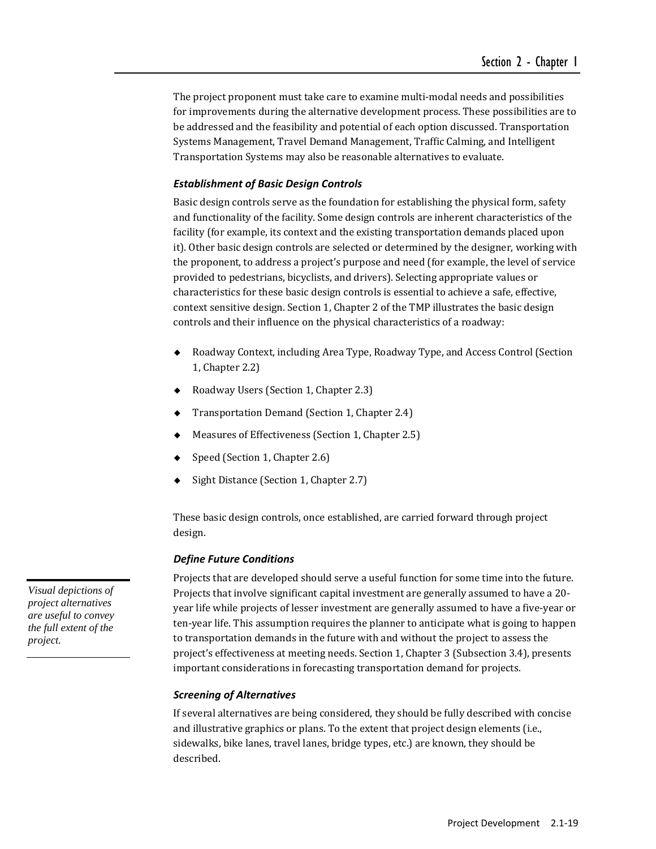The project proponent must take care to examine multi-modal needs and possibilities for improvements during the alternative development process. These possibilities are to be addressed and the feasibility and potential of each option discussed. Transportation Systems Management, Travel Demand Management, Traffic Calming, and Intelligent Transportation Systems may also be reasonable alternatives to evaluate.

#### *Establishment of Basic Design Controls*

Basic design controls serve as the foundation for establishing the physical form, safety and functionality of the facility. Some design controls are inherent characteristics of the facility (for example, its context and the existing transportation demands placed upon it). Other basic design controls are selected or determined by the designer, working with the proponent, to address a project's purpose and need (for example, the level of service provided to pedestrians, bicyclists, and drivers). Selecting appropriate values or characteristics for these basic design controls is essential to achieve a safe, effective, context sensitive design. Section 1, Chapter 2 of the TMP illustrates the basic design controls and their influence on the physical characteristics of a roadway:

- Roadway Context, including Area Type, Roadway Type, and Access Control (Section 1, Chapter 2.2)
- ◆ Roadway Users (Section 1, Chapter 2.3)
- $\blacklozenge$  Transportation Demand (Section 1, Chapter 2.4)
- Measures of Effectiveness (Section 1, Chapter 2.5)
- Speed (Section 1, Chapter 2.6)
- Sight Distance (Section 1, Chapter 2.7)

These basic design controls, once established, are carried forward through project design. 

#### *Define Future Conditions*

Projects that are developed should serve a useful function for some time into the future. Projects that involve significant capital investment are generally assumed to have a 20year life while projects of lesser investment are generally assumed to have a five-year or ten-year life. This assumption requires the planner to anticipate what is going to happen to transportation demands in the future with and without the project to assess the project's effectiveness at meeting needs. Section 1, Chapter 3 (Subsection 3.4), presents important considerations in forecasting transportation demand for projects.

#### *Screening of Alternatives*

If several alternatives are being considered, they should be fully described with concise and illustrative graphics or plans. To the extent that project design elements (i.e., sidewalks, bike lanes, travel lanes, bridge types, etc.) are known, they should be described. 

*Visual depictions of project alternatives are useful to convey the full extent of the project.*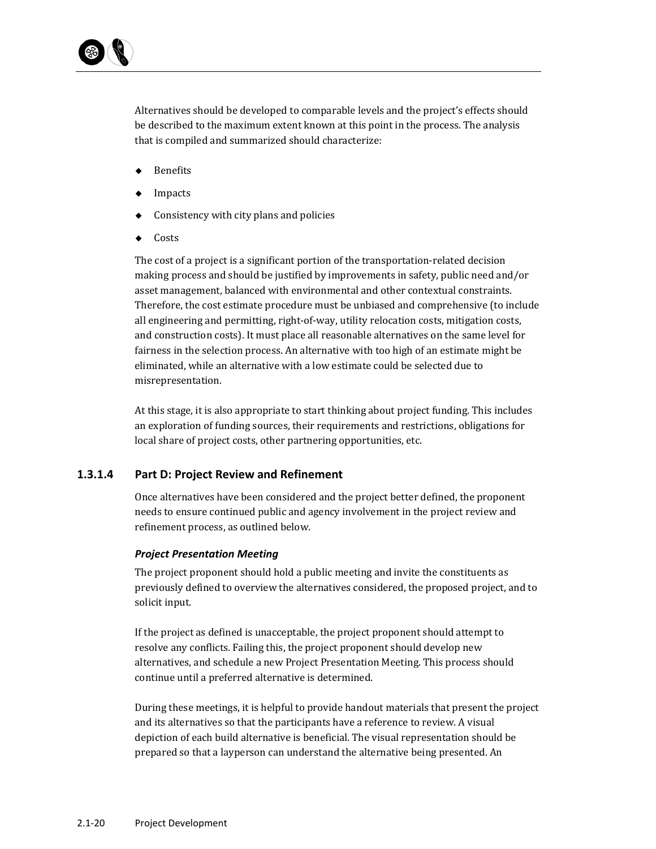Alternatives should be developed to comparable levels and the project's effects should be described to the maximum extent known at this point in the process. The analysis that is compiled and summarized should characterize:

- ◆ Benefits
- ◆ Impacts
- $\triangle$  Consistency with city plans and policies
- Costs

The cost of a project is a significant portion of the transportation-related decision making process and should be justified by improvements in safety, public need and/or asset management, balanced with environmental and other contextual constraints. Therefore, the cost estimate procedure must be unbiased and comprehensive (to include all engineering and permitting, right‐of‐way, utility relocation costs, mitigation costs, and construction costs). It must place all reasonable alternatives on the same level for fairness in the selection process. An alternative with too high of an estimate might be eliminated, while an alternative with a low estimate could be selected due to misrepresentation. 

At this stage, it is also appropriate to start thinking about project funding. This includes an exploration of funding sources, their requirements and restrictions, obligations for local share of project costs, other partnering opportunities, etc.

#### **1.3.1.4 Part D: Project Review and Refinement**

Once alternatives have been considered and the project better defined, the proponent needs to ensure continued public and agency involvement in the project review and refinement process, as outlined below.

#### *Project Presentation Meeting*

The project proponent should hold a public meeting and invite the constituents as previously defined to overview the alternatives considered, the proposed project, and to solicit input.

If the project as defined is unacceptable, the project proponent should attempt to resolve any conflicts. Failing this, the project proponent should develop new alternatives, and schedule a new Project Presentation Meeting. This process should continue until a preferred alternative is determined.

During these meetings, it is helpful to provide handout materials that present the project and its alternatives so that the participants have a reference to review. A visual depiction of each build alternative is beneficial. The visual representation should be prepared so that a layperson can understand the alternative being presented. An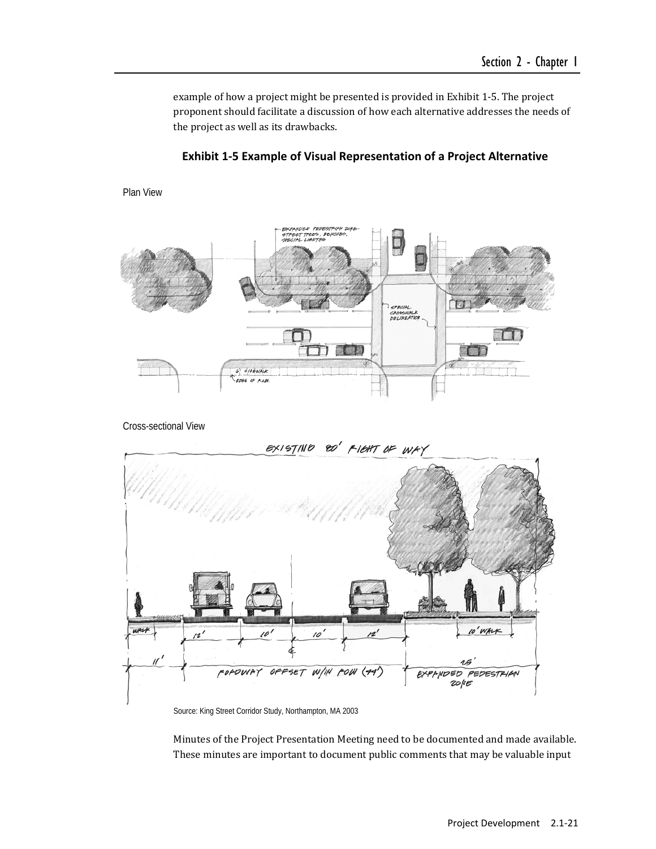example of how a project might be presented is provided in Exhibit 1-5. The project proponent should facilitate a discussion of how each alternative addresses the needs of the project as well as its drawbacks.





Cross-sectional View

Plan View



Source: King Street Corridor Study, Northampton, MA 2003

Minutes of the Project Presentation Meeting need to be documented and made available. These minutes are important to document public comments that may be valuable input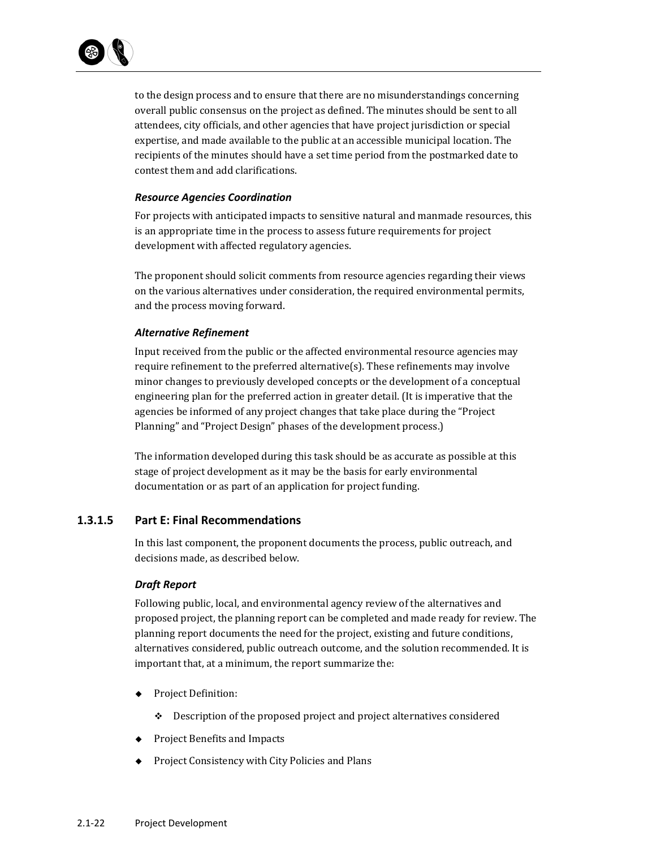

to the design process and to ensure that there are no misunderstandings concerning overall public consensus on the project as defined. The minutes should be sent to all attendees, city officials, and other agencies that have project jurisdiction or special expertise, and made available to the public at an accessible municipal location. The recipients of the minutes should have a set time period from the postmarked date to contest them and add clarifications.

#### *Resource Agencies Coordination*

For projects with anticipated impacts to sensitive natural and manmade resources, this is an appropriate time in the process to assess future requirements for project development with affected regulatory agencies.

The proponent should solicit comments from resource agencies regarding their views on the various alternatives under consideration, the required environmental permits, and the process moving forward.

#### *Alternative Refinement*

Input received from the public or the affected environmental resource agencies may require refinement to the preferred alternative(s). These refinements may involve minor changes to previously developed concepts or the development of a conceptual engineering plan for the preferred action in greater detail. (It is imperative that the agencies be informed of any project changes that take place during the "Project Planning" and "Project Design" phases of the development process.)

The information developed during this task should be as accurate as possible at this stage of project development as it may be the basis for early environmental documentation or as part of an application for project funding.

#### **1.3.1.5 Part E: Final Recommendations**

In this last component, the proponent documents the process, public outreach, and decisions made, as described below.

#### *Draft Report*

Following public, local, and environmental agency review of the alternatives and proposed project, the planning report can be completed and made ready for review. The planning report documents the need for the project, existing and future conditions, alternatives considered, public outreach outcome, and the solution recommended. It is important that, at a minimum, the report summarize the:

- ◆ Project Definition:
	- $\div$  Description of the proposed project and project alternatives considered
- ◆ Project Benefits and Impacts
- ◆ Project Consistency with City Policies and Plans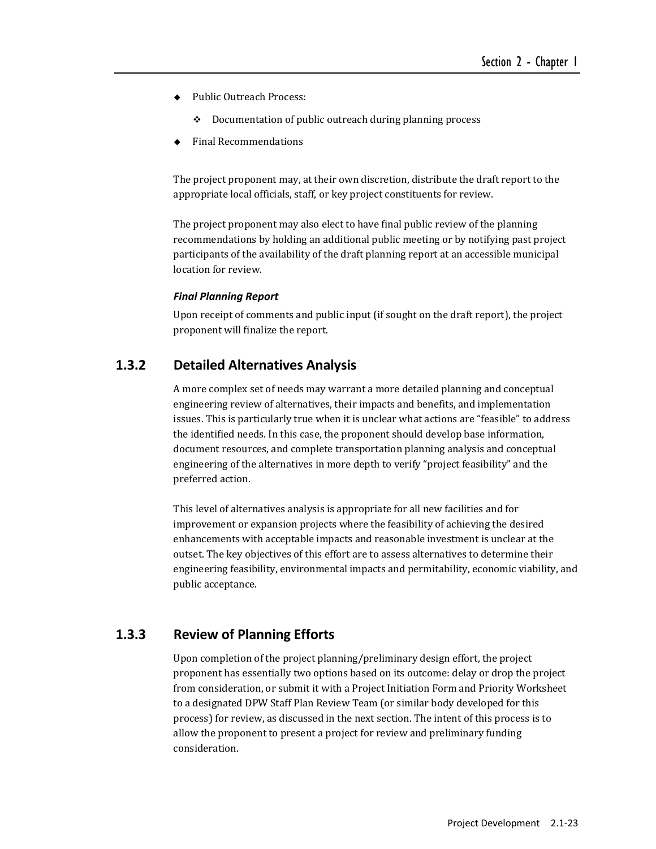- ◆ Public Outreach Process:
	- $\div$  Documentation of public outreach during planning process
- Final Recommendations

The project proponent may, at their own discretion, distribute the draft report to the appropriate local officials, staff, or key project constituents for review.

The project proponent may also elect to have final public review of the planning recommendations by holding an additional public meeting or by notifying past project participants of the availability of the draft planning report at an accessible municipal location for review.

#### *Final Planning Report*

Upon receipt of comments and public input (if sought on the draft report), the project proponent will finalize the report.

## **1.3.2 Detailed Alternatives Analysis**

A more complex set of needs may warrant a more detailed planning and conceptual engineering review of alternatives, their impacts and benefits, and implementation issues. This is particularly true when it is unclear what actions are "feasible" to address the identified needs. In this case, the proponent should develop base information, document resources, and complete transportation planning analysis and conceptual engineering of the alternatives in more depth to verify "project feasibility" and the preferred action.

This level of alternatives analysis is appropriate for all new facilities and for improvement or expansion projects where the feasibility of achieving the desired enhancements with acceptable impacts and reasonable investment is unclear at the outset. The key objectives of this effort are to assess alternatives to determine their engineering feasibility, environmental impacts and permitability, economic viability, and public acceptance.

## **1.3.3 Review of Planning Efforts**

Upon completion of the project planning/preliminary design effort, the project proponent has essentially two options based on its outcome: delay or drop the project from consideration, or submit it with a Project Initiation Form and Priority Worksheet to a designated DPW Staff Plan Review Team (or similar body developed for this process) for review, as discussed in the next section. The intent of this process is to allow the proponent to present a project for review and preliminary funding consideration.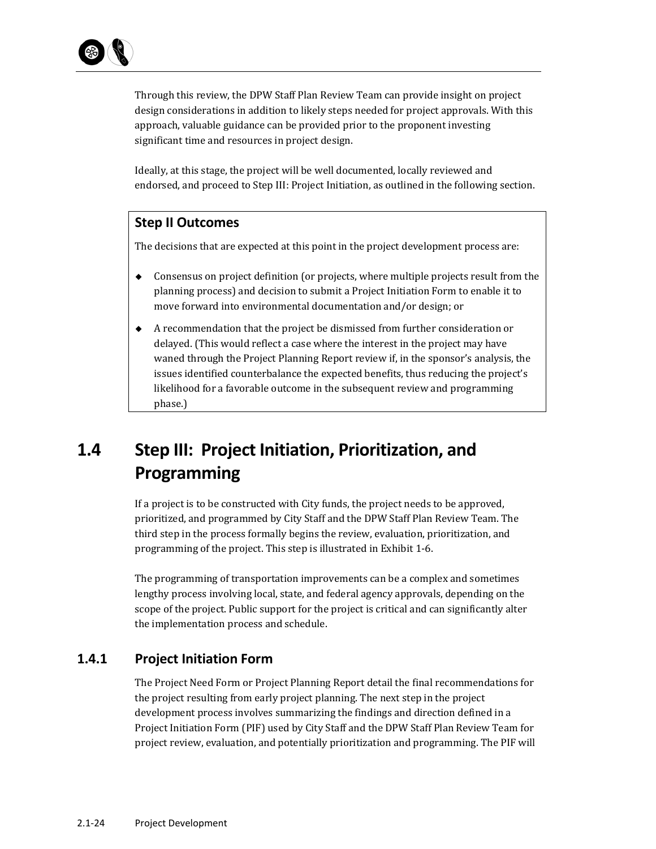Through this review, the DPW Staff Plan Review Team can provide insight on project design considerations in addition to likely steps needed for project approvals. With this approach, valuable guidance can be provided prior to the proponent investing significant time and resources in project design.

Ideally, at this stage, the project will be well documented, locally reviewed and endorsed, and proceed to Step III: Project Initiation, as outlined in the following section.

## **Step II Outcomes**

The decisions that are expected at this point in the project development process are:

- $\bullet$  Consensus on project definition (or projects, where multiple projects result from the planning process) and decision to submit a Project Initiation Form to enable it to move forward into environmental documentation and/or design; or
- $\blacklozenge$  A recommendation that the project be dismissed from further consideration or delayed. (This would reflect a case where the interest in the project may have waned through the Project Planning Report review if, in the sponsor's analysis, the issues identified counterbalance the expected benefits, thus reducing the project's likelihood for a favorable outcome in the subsequent review and programming phase.)

# **1.4 Step III: Project Initiation, Prioritization, and Programming**

If a project is to be constructed with City funds, the project needs to be approved, prioritized, and programmed by City Staff and the DPW Staff Plan Review Team. The third step in the process formally begins the review, evaluation, prioritization, and programming of the project. This step is illustrated in Exhibit 1-6.

The programming of transportation improvements can be a complex and sometimes lengthy process involving local, state, and federal agency approvals, depending on the scope of the project. Public support for the project is critical and can significantly alter the implementation process and schedule.

## **1.4.1 Project Initiation Form**

The Project Need Form or Project Planning Report detail the final recommendations for the project resulting from early project planning. The next step in the project development process involves summarizing the findings and direction defined in a Project Initiation Form (PIF) used by City Staff and the DPW Staff Plan Review Team for project review, evaluation, and potentially prioritization and programming. The PIF will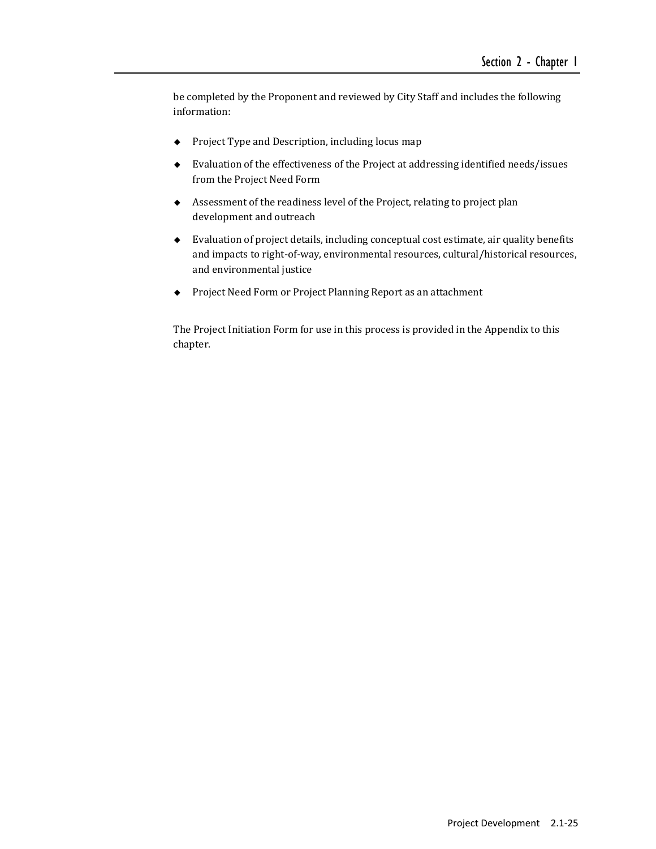be completed by the Proponent and reviewed by City Staff and includes the following information: 

- $\bullet$  Project Type and Description, including locus map
- $\blacklozenge$  Evaluation of the effectiveness of the Project at addressing identified needs/issues from the Project Need Form
- $\blacklozenge$  Assessment of the readiness level of the Project, relating to project plan development and outreach
- $\bullet$  Evaluation of project details, including conceptual cost estimate, air quality benefits and impacts to right-of-way, environmental resources, cultural/historical resources, and environmental justice
- ◆ Project Need Form or Project Planning Report as an attachment

The Project Initiation Form for use in this process is provided in the Appendix to this chapter.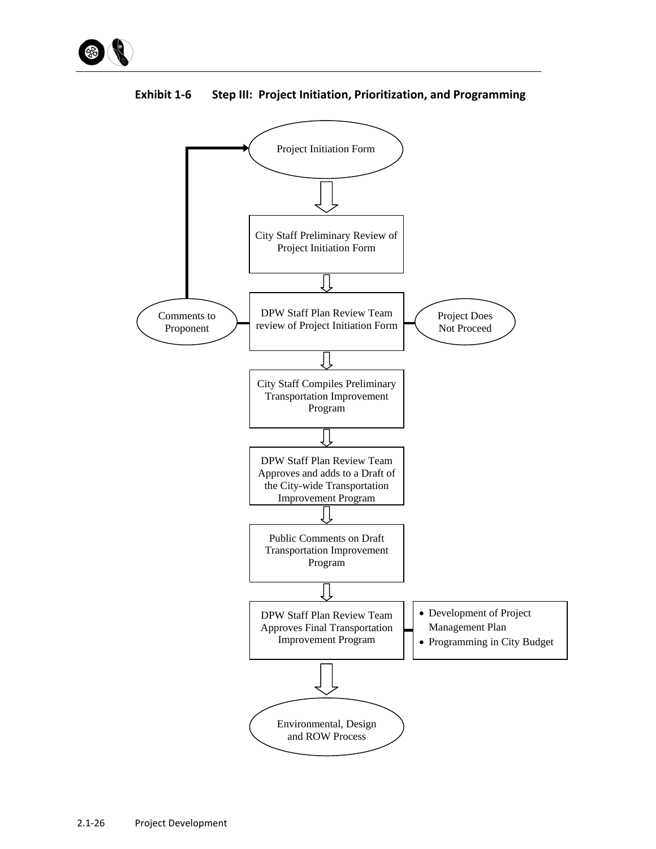



**Exhibit 1‐6 Step III: Project Initiation, Prioritization, and Programming**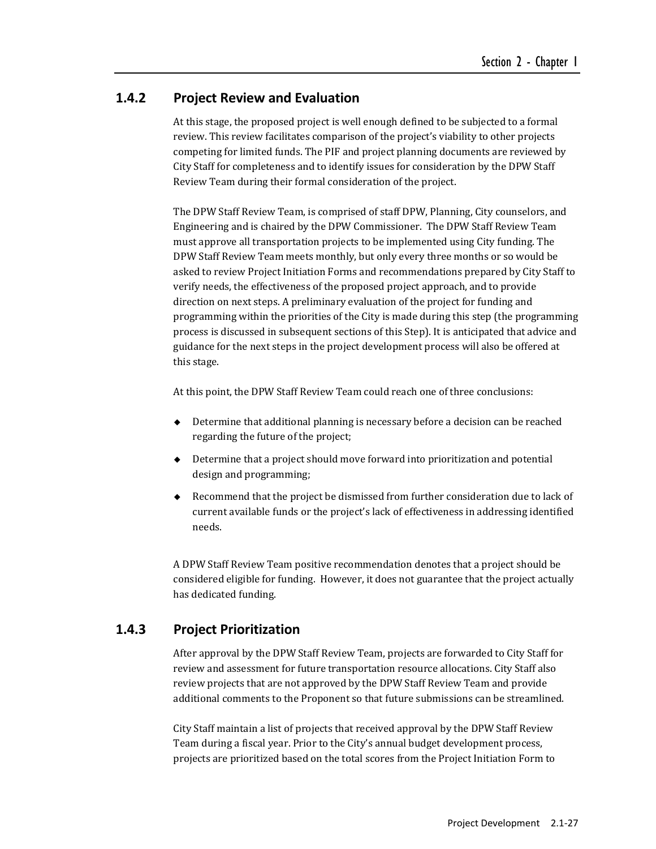## **1.4.2 Project Review and Evaluation**

At this stage, the proposed project is well enough defined to be subjected to a formal review. This review facilitates comparison of the project's viability to other projects competing for limited funds. The PIF and project planning documents are reviewed by City Staff for completeness and to identify issues for consideration by the DPW Staff Review Team during their formal consideration of the project.

The DPW Staff Review Team, is comprised of staff DPW, Planning, City counselors, and Engineering and is chaired by the DPW Commissioner. The DPW Staff Review Team must approve all transportation projects to be implemented using City funding. The DPW Staff Review Team meets monthly, but only every three months or so would be asked to review Project Initiation Forms and recommendations prepared by City Staff to verify needs, the effectiveness of the proposed project approach, and to provide direction on next steps. A preliminary evaluation of the project for funding and programming within the priorities of the City is made during this step (the programming process is discussed in subsequent sections of this Step). It is anticipated that advice and guidance for the next steps in the project development process will also be offered at this stage.

At this point, the DPW Staff Review Team could reach one of three conclusions:

- $\rightarrow$  Determine that additional planning is necessary before a decision can be reached regarding the future of the project;
- $\blacklozenge$  Determine that a project should move forward into prioritization and potential design and programming;
- $\bullet$  Recommend that the project be dismissed from further consideration due to lack of current available funds or the project's lack of effectiveness in addressing identified needs.

A DPW Staff Review Team positive recommendation denotes that a project should be considered eligible for funding. However, it does not guarantee that the project actually has dedicated funding.

## **1.4.3 Project Prioritization**

After approval by the DPW Staff Review Team, projects are forwarded to City Staff for review and assessment for future transportation resource allocations. City Staff also review projects that are not approved by the DPW Staff Review Team and provide additional comments to the Proponent so that future submissions can be streamlined.

City Staff maintain a list of projects that received approval by the DPW Staff Review Team during a fiscal year. Prior to the City's annual budget development process, projects are prioritized based on the total scores from the Project Initiation Form to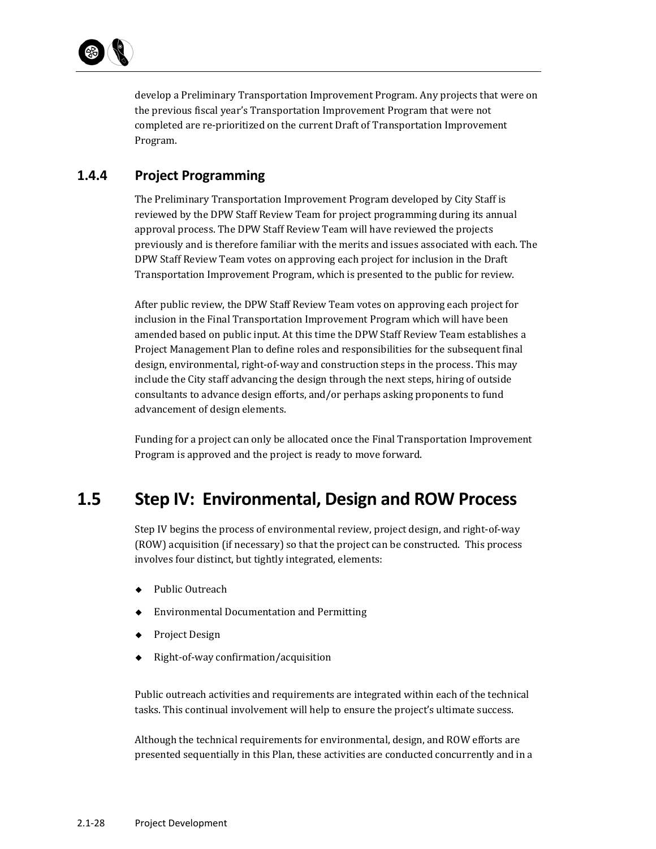

develop a Preliminary Transportation Improvement Program. Any projects that were on the previous fiscal year's Transportation Improvement Program that were not completed are re-prioritized on the current Draft of Transportation Improvement Program. 

## **1.4.4 Project Programming**

The Preliminary Transportation Improvement Program developed by City Staff is reviewed by the DPW Staff Review Team for project programming during its annual approval process. The DPW Staff Review Team will have reviewed the projects previously and is therefore familiar with the merits and issues associated with each. The DPW Staff Review Team votes on approving each project for inclusion in the Draft Transportation Improvement Program, which is presented to the public for review.

After public review, the DPW Staff Review Team votes on approving each project for inclusion in the Final Transportation Improvement Program which will have been amended based on public input. At this time the DPW Staff Review Team establishes a Project Management Plan to define roles and responsibilities for the subsequent final design, environmental, right-of-way and construction steps in the process. This may include the City staff advancing the design through the next steps, hiring of outside consultants to advance design efforts, and/or perhaps asking proponents to fund advancement of design elements.

Funding for a project can only be allocated once the Final Transportation Improvement Program is approved and the project is ready to move forward.

# **1.5 Step IV: Environmental, Design and ROW Process**

Step IV begins the process of environmental review, project design, and right-of-way (ROW) acquisition (if necessary) so that the project can be constructed. This process involves four distinct, but tightly integrated, elements:

- ◆ Public Outreach
- ◆ Environmental Documentation and Permitting
- Project Design
- Right‐of‐way confirmation/acquisition

Public outreach activities and requirements are integrated within each of the technical tasks. This continual involvement will help to ensure the project's ultimate success.

Although the technical requirements for environmental, design, and ROW efforts are presented sequentially in this Plan, these activities are conducted concurrently and in a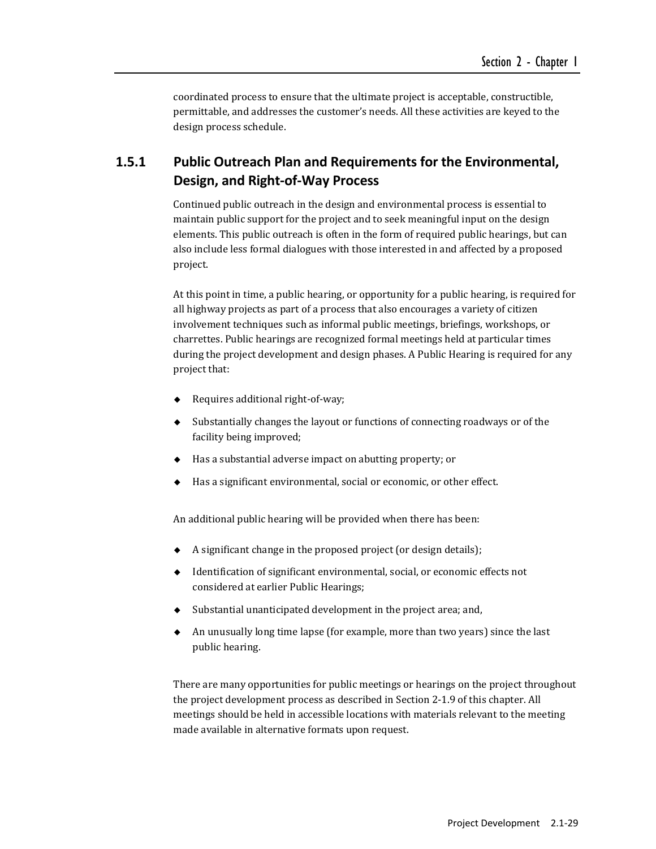coordinated process to ensure that the ultimate project is acceptable, constructible, permittable, and addresses the customer's needs. All these activities are keyed to the design process schedule.

## **1.5.1 Public Outreach Plan and Requirements for the Environmental, Design, and Right‐of‐Way Process**

Continued public outreach in the design and environmental process is essential to maintain public support for the project and to seek meaningful input on the design elements. This public outreach is often in the form of required public hearings, but can also include less formal dialogues with those interested in and affected by a proposed project. 

At this point in time, a public hearing, or opportunity for a public hearing, is required for all highway projects as part of a process that also encourages a variety of citizen involvement techniques such as informal public meetings, briefings, workshops, or charrettes. Public hearings are recognized formal meetings held at particular times during the project development and design phases. A Public Hearing is required for any project that:

- ◆ Requires additional right-of-way;
- $\bullet$  Substantially changes the layout or functions of connecting roadways or of the facility being improved;
- $\blacklozenge$  Has a substantial adverse impact on abutting property; or
- Has a significant environmental, social or economic, or other effect.

An additional public hearing will be provided when there has been:

- $\triangle$  A significant change in the proposed project (or design details);
- $\blacklozenge$  Identification of significant environmental, social, or economic effects not considered at earlier Public Hearings;
- $\bullet$  Substantial unanticipated development in the project area; and,
- An unusually long time lapse (for example, more than two years) since the last public hearing.

There are many opportunities for public meetings or hearings on the project throughout the project development process as described in Section 2-1.9 of this chapter. All meetings should be held in accessible locations with materials relevant to the meeting made available in alternative formats upon request.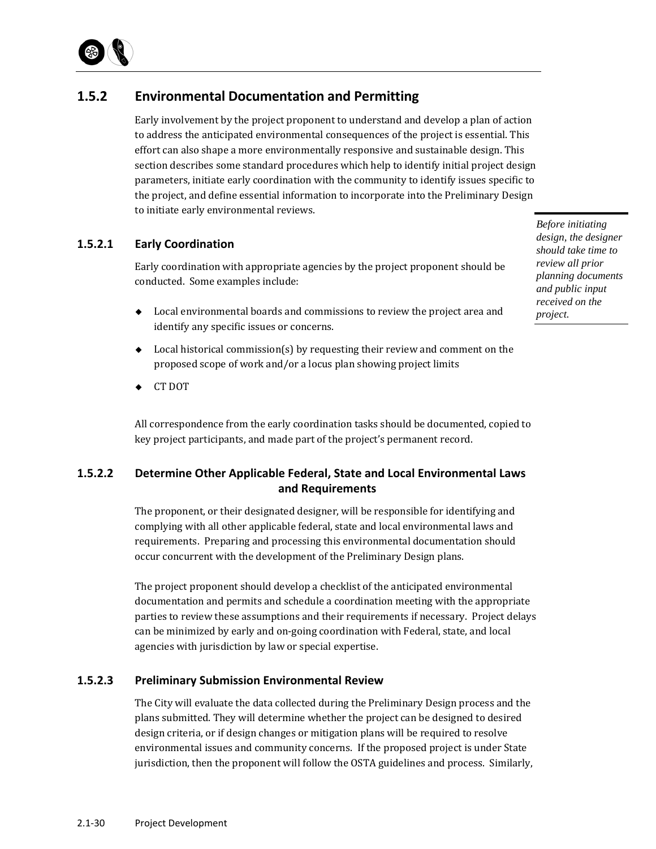

## **1.5.2 Environmental Documentation and Permitting**

Early involvement by the project proponent to understand and develop a plan of action to address the anticipated environmental consequences of the project is essential. This effort can also shape a more environmentally responsive and sustainable design. This section describes some standard procedures which help to identify initial project design parameters, initiate early coordination with the community to identify issues specific to the project, and define essential information to incorporate into the Preliminary Design to initiate early environmental reviews.

#### **1.5.2.1 Early Coordination**

Early coordination with appropriate agencies by the project proponent should be conducted. Some examples include:

- $\bullet$  Local environmental boards and commissions to review the project area and identify any specific issues or concerns.
- $\bullet$  Local historical commission(s) by requesting their review and comment on the proposed scope of work and/or a locus plan showing project limits
- ← CT DOT

All correspondence from the early coordination tasks should be documented, copied to key project participants, and made part of the project's permanent record.

## **1.5.2.2 Determine Other Applicable Federal, State and Local Environmental Laws and Requirements**

The proponent, or their designated designer, will be responsible for identifying and complying with all other applicable federal, state and local environmental laws and requirements. Preparing and processing this environmental documentation should occur concurrent with the development of the Preliminary Design plans.

The project proponent should develop a checklist of the anticipated environmental documentation and permits and schedule a coordination meeting with the appropriate parties to review these assumptions and their requirements if necessary. Project delays can be minimized by early and on-going coordination with Federal, state, and local agencies with jurisdiction by law or special expertise.

#### **1.5.2.3 Preliminary Submission Environmental Review**

The City will evaluate the data collected during the Preliminary Design process and the plans submitted. They will determine whether the project can be designed to desired design criteria, or if design changes or mitigation plans will be required to resolve environmental issues and community concerns. If the proposed project is under State jurisdiction, then the proponent will follow the OSTA guidelines and process. Similarly,

*Before initiating design, the designer should take time to review all prior planning documents and public input received on the project.*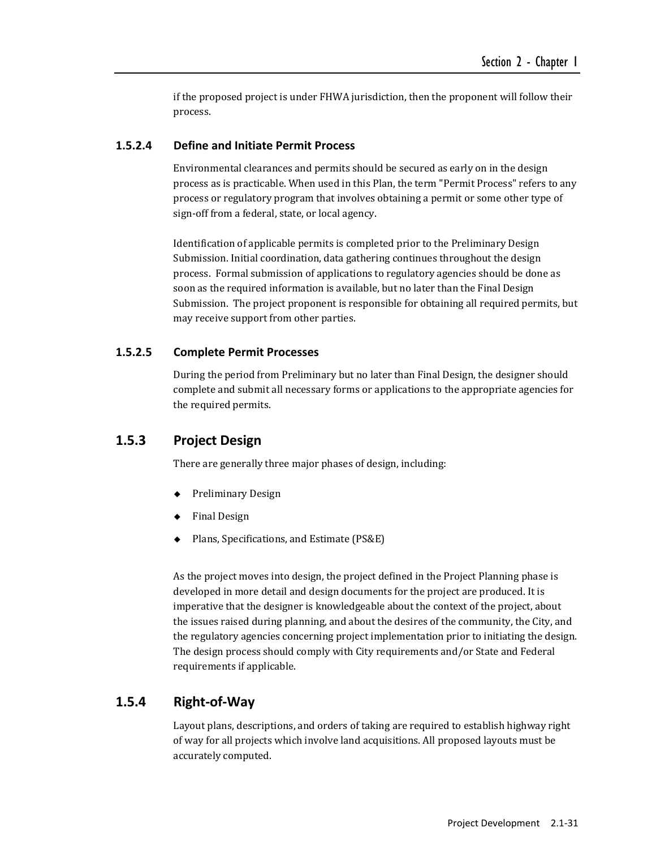if the proposed project is under FHWA jurisdiction, then the proponent will follow their process. 

#### **1.5.2.4 Define and Initiate Permit Process**

Environmental clearances and permits should be secured as early on in the design process as is practicable. When used in this Plan, the term "Permit Process" refers to any process or regulatory program that involves obtaining a permit or some other type of sign-off from a federal, state, or local agency.

Identification of applicable permits is completed prior to the Preliminary Design Submission. Initial coordination, data gathering continues throughout the design process. Formal submission of applications to regulatory agencies should be done as soon as the required information is available, but no later than the Final Design Submission. The project proponent is responsible for obtaining all required permits, but may receive support from other parties.

#### **1.5.2.5 Complete Permit Processes**

During the period from Preliminary but no later than Final Design, the designer should complete and submit all necessary forms or applications to the appropriate agencies for the required permits.

#### **1.5.3 Project Design**

There are generally three major phases of design, including:

- ◆ Preliminary Design
- Final Design
- Plans, Specifications, and Estimate (PS&E)

As the project moves into design, the project defined in the Project Planning phase is developed in more detail and design documents for the project are produced. It is imperative that the designer is knowledgeable about the context of the project, about the issues raised during planning, and about the desires of the community, the City, and the regulatory agencies concerning project implementation prior to initiating the design. The design process should comply with City requirements and/or State and Federal requirements if applicable.

## **1.5.4 Right‐of‐Way**

Layout plans, descriptions, and orders of taking are required to establish highway right of way for all projects which involve land acquisitions. All proposed layouts must be accurately computed.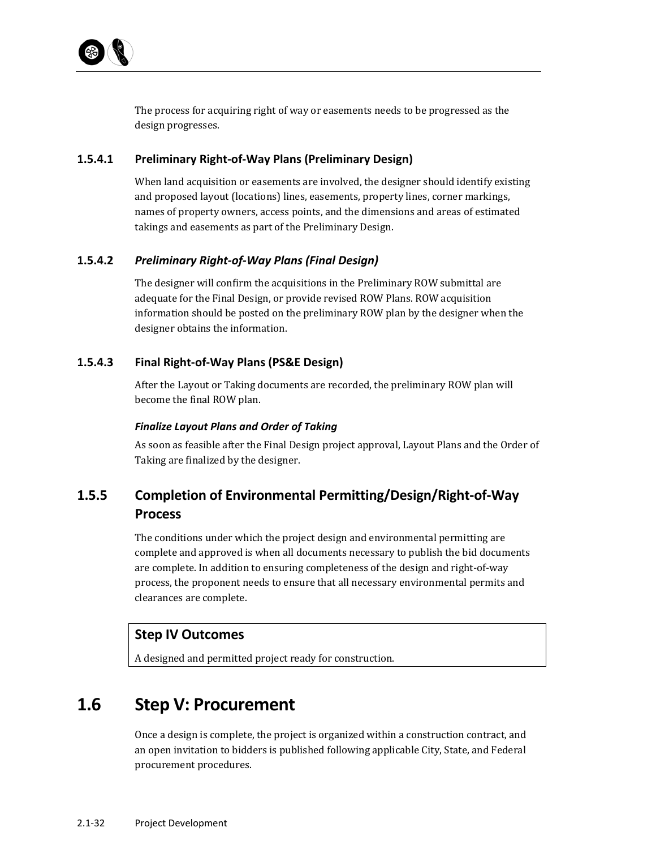

The process for acquiring right of way or easements needs to be progressed as the design progresses.

#### **1.5.4.1 Preliminary Right‐of‐Way Plans (Preliminary Design)**

When land acquisition or easements are involved, the designer should identify existing and proposed layout (locations) lines, easements, property lines, corner markings, names of property owners, access points, and the dimensions and areas of estimated takings and easements as part of the Preliminary Design.

#### **1.5.4.2** *Preliminary Right‐of‐Way Plans (Final Design)*

The designer will confirm the acquisitions in the Preliminary ROW submittal are adequate for the Final Design, or provide revised ROW Plans. ROW acquisition information should be posted on the preliminary ROW plan by the designer when the designer obtains the information.

#### **1.5.4.3 Final Right‐of‐Way Plans (PS&E Design)**

After the Layout or Taking documents are recorded, the preliminary ROW plan will become the final ROW plan.

#### *Finalize Layout Plans and Order of Taking*

As soon as feasible after the Final Design project approval, Layout Plans and the Order of Taking are finalized by the designer.

## **1.5.5 Completion of Environmental Permitting/Design/Right‐of‐Way Process**

The conditions under which the project design and environmental permitting are complete and approved is when all documents necessary to publish the bid documents are complete. In addition to ensuring completeness of the design and right-of-way process, the proponent needs to ensure that all necessary environmental permits and clearances are complete.

#### **Step IV Outcomes**

A designed and permitted project ready for construction.

# **1.6 Step V: Procurement**

Once a design is complete, the project is organized within a construction contract, and an open invitation to bidders is published following applicable City, State, and Federal procurement procedures.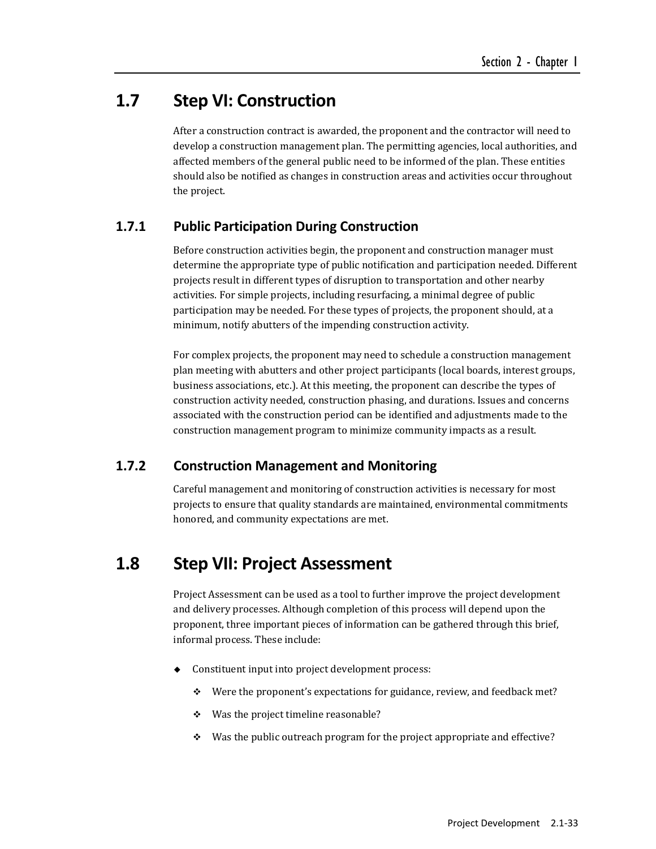## **1.7 Step VI: Construction**

After a construction contract is awarded, the proponent and the contractor will need to develop a construction management plan. The permitting agencies, local authorities, and affected members of the general public need to be informed of the plan. These entities should also be notified as changes in construction areas and activities occur throughout the project.

## **1.7.1 Public Participation During Construction**

Before construction activities begin, the proponent and construction manager must determine the appropriate type of public notification and participation needed. Different projects result in different types of disruption to transportation and other nearby activities. For simple projects, including resurfacing, a minimal degree of public participation may be needed. For these types of projects, the proponent should, at a minimum, notify abutters of the impending construction activity.

For complex projects, the proponent may need to schedule a construction management plan meeting with abutters and other project participants (local boards, interest groups, business associations, etc.). At this meeting, the proponent can describe the types of construction activity needed, construction phasing, and durations. Issues and concerns associated with the construction period can be identified and adjustments made to the construction management program to minimize community impacts as a result.

## **1.7.2 Construction Management and Monitoring**

Careful management and monitoring of construction activities is necessary for most projects to ensure that quality standards are maintained, environmental commitments honored, and community expectations are met.

## **1.8 Step VII: Project Assessment**

Project Assessment can be used as a tool to further improve the project development and delivery processes. Although completion of this process will depend upon the proponent, three important pieces of information can be gathered through this brief, informal process. These include:

- Constituent input into project development process:
	- $\div$  Were the proponent's expectations for guidance, review, and feedback met?
	- $\div$  Was the project timeline reasonable?
	- $\cdot$  Was the public outreach program for the project appropriate and effective?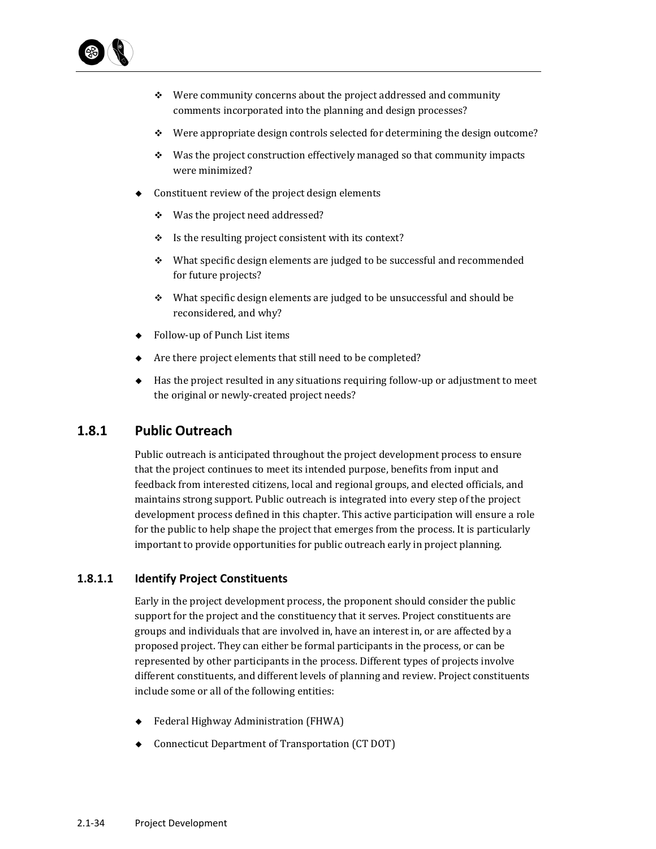

- $\div$  Were community concerns about the project addressed and community comments incorporated into the planning and design processes?
- $\div$  Were appropriate design controls selected for determining the design outcome?
- $\div$  Was the project construction effectively managed so that community impacts were minimized?
- Constituent review of the project design elements
	- $\div$  Was the project need addressed?
	- $\cdot$  Is the resulting project consistent with its context?
	- $\cdot$  What specific design elements are judged to be successful and recommended for future projects?
	- $\cdot$  What specific design elements are judged to be unsuccessful and should be reconsidered, and why?
- ◆ Follow-up of Punch List items
- Are there project elements that still need to be completed?
- $\blacklozenge$  Has the project resulted in any situations requiring follow-up or adjustment to meet the original or newly-created project needs?

## **1.8.1 Public Outreach**

Public outreach is anticipated throughout the project development process to ensure that the project continues to meet its intended purpose, benefits from input and feedback from interested citizens, local and regional groups, and elected officials, and maintains strong support. Public outreach is integrated into every step of the project development process defined in this chapter. This active participation will ensure a role for the public to help shape the project that emerges from the process. It is particularly important to provide opportunities for public outreach early in project planning.

#### **1.8.1.1 Identify Project Constituents**

Early in the project development process, the proponent should consider the public support for the project and the constituency that it serves. Project constituents are groups and individuals that are involved in, have an interest in, or are affected by a proposed project. They can either be formal participants in the process, or can be represented by other participants in the process. Different types of projects involve different constituents, and different levels of planning and review. Project constituents include some or all of the following entities:

- Federal Highway Administration (FHWA)
- Connecticut Department of Transportation (CT DOT)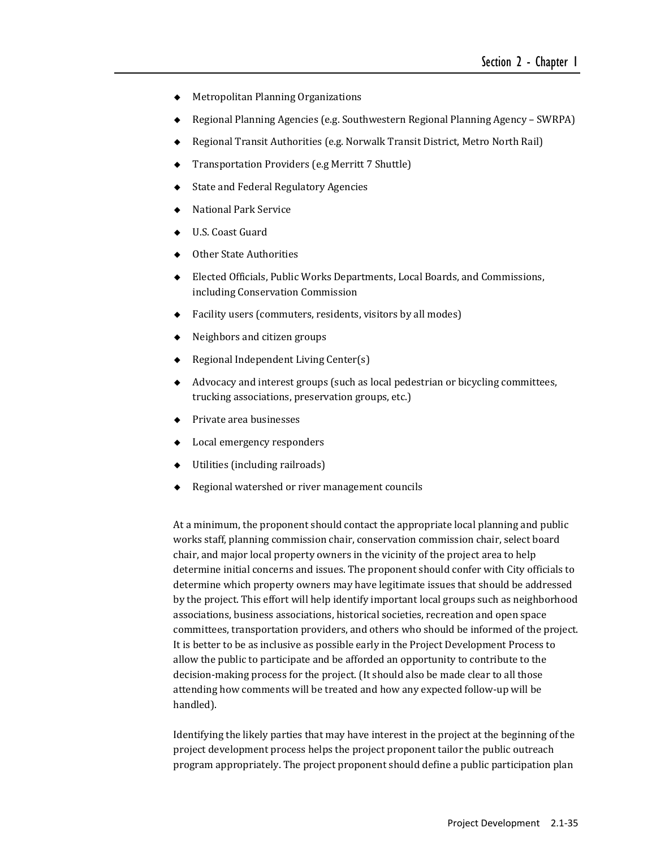- ◆ Metropolitan Planning Organizations
- Regional Planning Agencies (e.g. Southwestern Regional Planning Agency SWRPA)
- Regional Transit Authorities (e.g. Norwalk Transit District, Metro North Rail)
- Transportation Providers (e.g Merritt 7 Shuttle)
- ◆ State and Federal Regulatory Agencies
- National Park Service
- U.S. Coast Guard
- Other State Authorities
- Elected Officials, Public Works Departments, Local Boards, and Commissions, including Conservation Commission
- $\blacklozenge$  Facility users (commuters, residents, visitors by all modes)
- $\leftrightarrow$  Neighbors and citizen groups
- $\blacklozenge$  Regional Independent Living Center(s)
- ◆ Advocacy and interest groups (such as local pedestrian or bicycling committees, trucking associations, preservation groups, etc.)
- $\leftarrow$  Private area businesses
- $\triangleleft$  Local emergency responders
- $\blacklozenge$  Utilities (including railroads)
- Regional watershed or river management councils

At a minimum, the proponent should contact the appropriate local planning and public works staff, planning commission chair, conservation commission chair, select board chair, and major local property owners in the vicinity of the project area to help determine initial concerns and issues. The proponent should confer with City officials to determine which property owners may have legitimate issues that should be addressed by the project. This effort will help identify important local groups such as neighborhood associations, business associations, historical societies, recreation and open space committees, transportation providers, and others who should be informed of the project. It is better to be as inclusive as possible early in the Project Development Process to allow the public to participate and be afforded an opportunity to contribute to the decision-making process for the project. (It should also be made clear to all those attending how comments will be treated and how any expected follow-up will be handled). 

Identifying the likely parties that may have interest in the project at the beginning of the project development process helps the project proponent tailor the public outreach program appropriately. The project proponent should define a public participation plan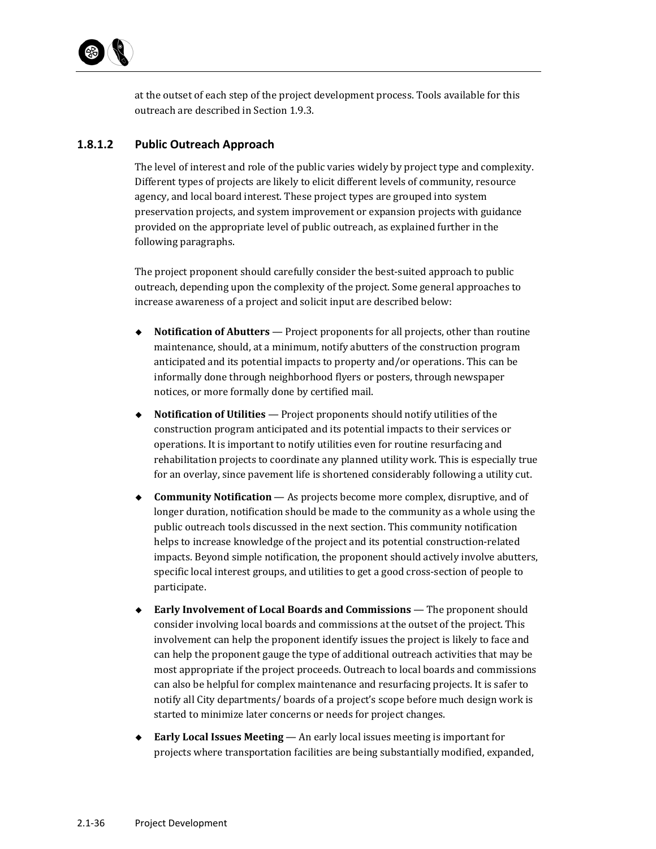

at the outset of each step of the project development process. Tools available for this outreach are described in Section 1.9.3.

#### **1.8.1.2 Public Outreach Approach**

The level of interest and role of the public varies widely by project type and complexity. Different types of projects are likely to elicit different levels of community, resource agency, and local board interest. These project types are grouped into system preservation projects, and system improvement or expansion projects with guidance provided on the appropriate level of public outreach, as explained further in the following paragraphs.

The project proponent should carefully consider the best-suited approach to public outreach, depending upon the complexity of the project. Some general approaches to increase awareness of a project and solicit input are described below:

- ◆ **Notification of Abutters** Project proponents for all projects, other than routine maintenance, should, at a minimum, notify abutters of the construction program anticipated and its potential impacts to property and/or operations. This can be informally done through neighborhood flyers or posters, through newspaper notices, or more formally done by certified mail.
- ◆ **Notification of Utilities** Project proponents should notify utilities of the construction program anticipated and its potential impacts to their services or operations. It is important to notify utilities even for routine resurfacing and rehabilitation projects to coordinate any planned utility work. This is especially true for an overlay, since pavement life is shortened considerably following a utility cut.
- ◆ **Community Notification** As projects become more complex, disruptive, and of longer duration, notification should be made to the community as a whole using the public outreach tools discussed in the next section. This community notification helps to increase knowledge of the project and its potential construction-related impacts. Beyond simple notification, the proponent should actively involve abutters, specific local interest groups, and utilities to get a good cross-section of people to participate.
- ◆ Early **Involvement of Local Boards and Commissions** The proponent should consider involving local boards and commissions at the outset of the project. This involvement can help the proponent identify issues the project is likely to face and can help the proponent gauge the type of additional outreach activities that may be most appropriate if the project proceeds. Outreach to local boards and commissions can also be helpful for complex maintenance and resurfacing projects. It is safer to notify all City departments/ boards of a project's scope before much design work is started to minimize later concerns or needs for project changes.
- ◆ **Early Local Issues Meeting** An early local issues meeting is important for projects where transportation facilities are being substantially modified, expanded,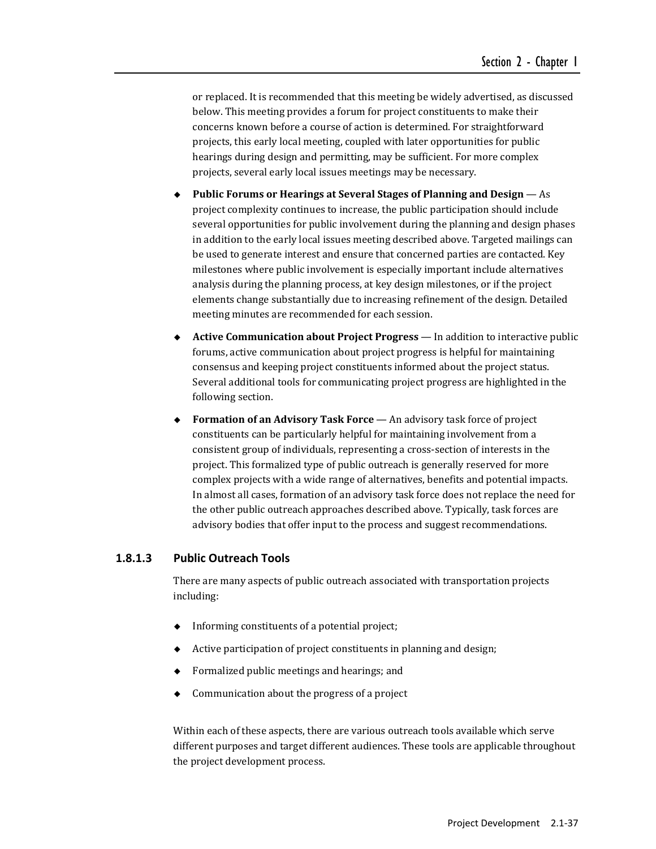or replaced. It is recommended that this meeting be widely advertised, as discussed below. This meeting provides a forum for project constituents to make their concerns known before a course of action is determined. For straightforward projects, this early local meeting, coupled with later opportunities for public hearings during design and permitting, may be sufficient. For more complex projects, several early local issues meetings may be necessary.

- **Public Forums or Hearings at Several Stages of Planning and Design** — As project complexity continues to increase, the public participation should include several opportunities for public involvement during the planning and design phases in addition to the early local issues meeting described above. Targeted mailings can be used to generate interest and ensure that concerned parties are contacted. Key milestones where public involvement is especially important include alternatives analysis during the planning process, at key design milestones, or if the project elements change substantially due to increasing refinement of the design. Detailed meeting minutes are recommended for each session.
- **Active Communication about Project Progress** In addition to interactive public forums, active communication about project progress is helpful for maintaining consensus and keeping project constituents informed about the project status. Several additional tools for communicating project progress are highlighted in the following section.
- **Formation of an Advisory Task Force** An advisory task force of project constituents can be particularly helpful for maintaining involvement from a consistent group of individuals, representing a cross-section of interests in the project. This formalized type of public outreach is generally reserved for more complex projects with a wide range of alternatives, benefits and potential impacts. In almost all cases, formation of an advisory task force does not replace the need for the other public outreach approaches described above. Typically, task forces are advisory bodies that offer input to the process and suggest recommendations.

#### **1.8.1.3 Public Outreach Tools**

There are many aspects of public outreach associated with transportation projects including: 

- $\bullet$  Informing constituents of a potential project;
- Active participation of project constituents in planning and design;
- Formalized public meetings and hearings; and
- Communication about the progress of a project

Within each of these aspects, there are various outreach tools available which serve different purposes and target different audiences. These tools are applicable throughout the project development process.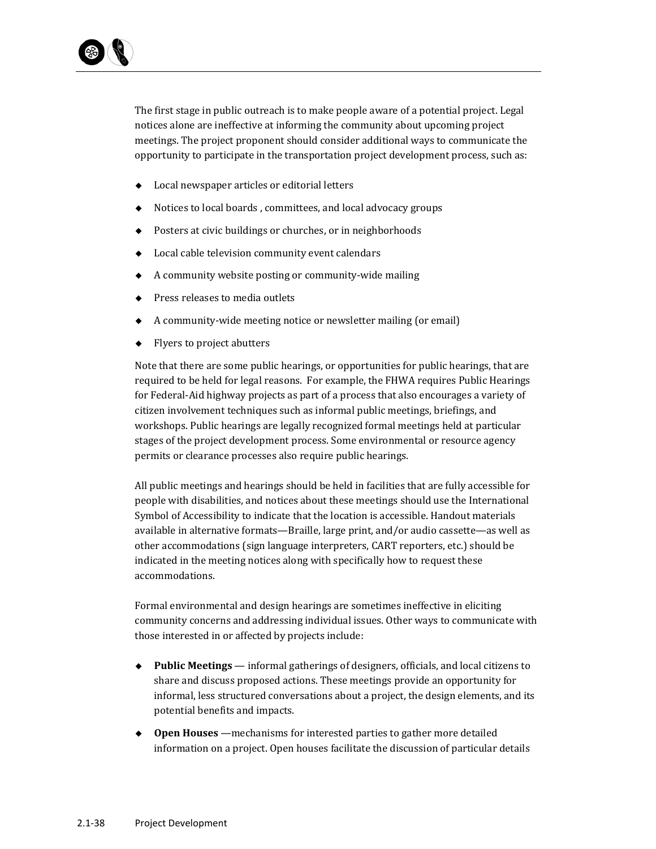

The first stage in public outreach is to make people aware of a potential project. Legal notices alone are ineffective at informing the community about upcoming project meetings. The project proponent should consider additional ways to communicate the opportunity to participate in the transportation project development process, such as:

- $\bullet$  Local newspaper articles or editorial letters
- Notices to local boards, committees, and local advocacy groups
- $\blacklozenge$  Posters at civic buildings or churches, or in neighborhoods
- $\blacklozenge$  Local cable television community event calendars
- $\blacklozenge$  A community website posting or community-wide mailing
- $\bullet$  Press releases to media outlets
- A community-wide meeting notice or newsletter mailing (or email)
- $\leftarrow$  Flyers to project abutters

Note that there are some public hearings, or opportunities for public hearings, that are required to be held for legal reasons. For example, the FHWA requires Public Hearings for Federal-Aid highway projects as part of a process that also encourages a variety of citizen involvement techniques such as informal public meetings, briefings, and workshops. Public hearings are legally recognized formal meetings held at particular stages of the project development process. Some environmental or resource agency permits or clearance processes also require public hearings.

All public meetings and hearings should be held in facilities that are fully accessible for people with disabilities, and notices about these meetings should use the International Symbol of Accessibility to indicate that the location is accessible. Handout materials available in alternative formats—Braille, large print, and/or audio cassette—as well as other accommodations (sign language interpreters, CART reporters, etc.) should be indicated in the meeting notices along with specifically how to request these accommodations. 

Formal environmental and design hearings are sometimes ineffective in eliciting community concerns and addressing individual issues. Other ways to communicate with those interested in or affected by projects include:

- ◆ **Public Meetings** informal gatherings of designers, officials, and local citizens to share and discuss proposed actions. These meetings provide an opportunity for informal, less structured conversations about a project, the design elements, and its potential benefits and impacts.
- ◆ **Open Houses** —mechanisms for interested parties to gather more detailed information on a project. Open houses facilitate the discussion of particular details